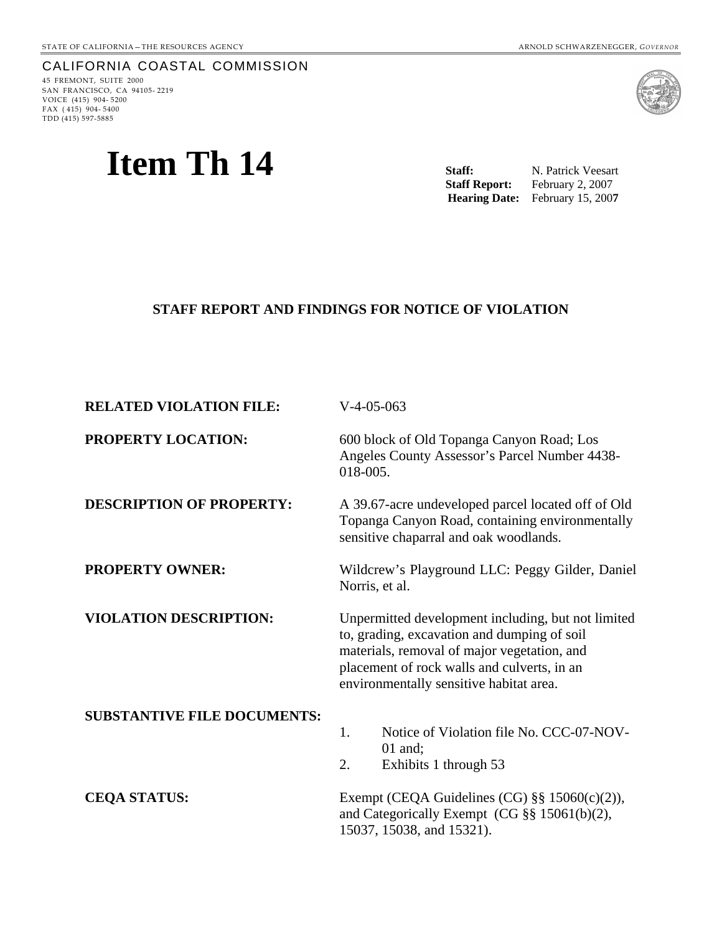### CALIFORNIA COASTAL COMMISSION

45 FREMONT, SUITE 2000 SAN FRANCISCO, CA 94105- 2219 VOICE (415) 904- 5200 FAX  $(415)$  904-5400 TDD (415) 597-5885

# **Item Th 14**



Staff: N. Patrick Veesart Staff Report: February 2, 2007 **Hearing Date:** February 15, 200**7** 

#### **STAFF REPORT AND FINDINGS FOR NOTICE OF VIOLATION**

| <b>RELATED VIOLATION FILE:</b>     | $V-4-05-063$                                                                                                                                                                                                                               |
|------------------------------------|--------------------------------------------------------------------------------------------------------------------------------------------------------------------------------------------------------------------------------------------|
| PROPERTY LOCATION:                 | 600 block of Old Topanga Canyon Road; Los<br>Angeles County Assessor's Parcel Number 4438-<br>018-005.                                                                                                                                     |
| <b>DESCRIPTION OF PROPERTY:</b>    | A 39.67-acre undeveloped parcel located off of Old<br>Topanga Canyon Road, containing environmentally<br>sensitive chaparral and oak woodlands.                                                                                            |
| <b>PROPERTY OWNER:</b>             | Wildcrew's Playground LLC: Peggy Gilder, Daniel<br>Norris, et al.                                                                                                                                                                          |
| <b>VIOLATION DESCRIPTION:</b>      | Unpermitted development including, but not limited<br>to, grading, excavation and dumping of soil<br>materials, removal of major vegetation, and<br>placement of rock walls and culverts, in an<br>environmentally sensitive habitat area. |
| <b>SUBSTANTIVE FILE DOCUMENTS:</b> | 1.<br>Notice of Violation file No. CCC-07-NOV-<br>$01$ and;<br>2.<br>Exhibits 1 through 53                                                                                                                                                 |
| <b>CEQA STATUS:</b>                | Exempt (CEQA Guidelines (CG) $\S\S 15060(c)(2)$ ),<br>and Categorically Exempt (CG $\S\S 15061(b)(2)$ ,<br>15037, 15038, and 15321).                                                                                                       |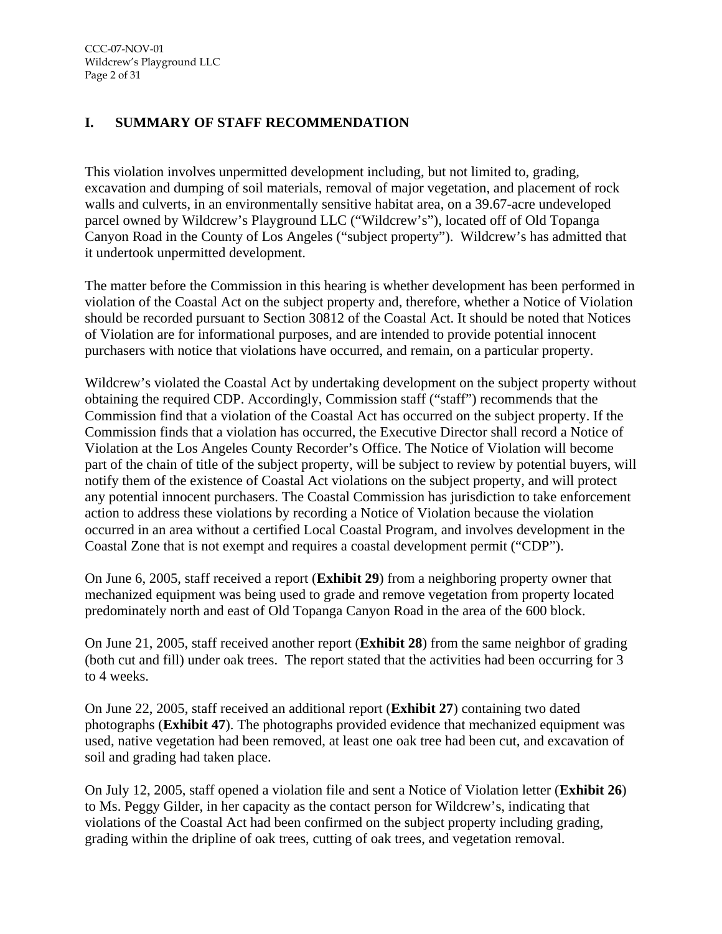# **I. SUMMARY OF STAFF RECOMMENDATION**

This violation involves unpermitted development including, but not limited to, grading, excavation and dumping of soil materials, removal of major vegetation, and placement of rock walls and culverts, in an environmentally sensitive habitat area, on a 39.67-acre undeveloped parcel owned by Wildcrew's Playground LLC ("Wildcrew's"), located off of Old Topanga Canyon Road in the County of Los Angeles ("subject property"). Wildcrew's has admitted that it undertook unpermitted development.

The matter before the Commission in this hearing is whether development has been performed in violation of the Coastal Act on the subject property and, therefore, whether a Notice of Violation should be recorded pursuant to Section 30812 of the Coastal Act. It should be noted that Notices of Violation are for informational purposes, and are intended to provide potential innocent purchasers with notice that violations have occurred, and remain, on a particular property.

Wildcrew's violated the Coastal Act by undertaking development on the subject property without obtaining the required CDP. Accordingly, Commission staff ("staff") recommends that the Commission find that a violation of the Coastal Act has occurred on the subject property. If the Commission finds that a violation has occurred, the Executive Director shall record a Notice of Violation at the Los Angeles County Recorder's Office. The Notice of Violation will become part of the chain of title of the subject property, will be subject to review by potential buyers, will notify them of the existence of Coastal Act violations on the subject property, and will protect any potential innocent purchasers. The Coastal Commission has jurisdiction to take enforcement action to address these violations by recording a Notice of Violation because the violation occurred in an area without a certified Local Coastal Program, and involves development in the Coastal Zone that is not exempt and requires a coastal development permit ("CDP").

On June 6, 2005, staff received a report (**Exhibit 29**) from a neighboring property owner that mechanized equipment was being used to grade and remove vegetation from property located predominately north and east of Old Topanga Canyon Road in the area of the 600 block.

On June 21, 2005, staff received another report (**Exhibit 28**) from the same neighbor of grading (both cut and fill) under oak trees. The report stated that the activities had been occurring for 3 to 4 weeks.

On June 22, 2005, staff received an additional report (**Exhibit 27**) containing two dated photographs (**Exhibit 47**). The photographs provided evidence that mechanized equipment was used, native vegetation had been removed, at least one oak tree had been cut, and excavation of soil and grading had taken place.

On July 12, 2005, staff opened a violation file and sent a Notice of Violation letter (**Exhibit 26**) to Ms. Peggy Gilder, in her capacity as the contact person for Wildcrew's, indicating that violations of the Coastal Act had been confirmed on the subject property including grading, grading within the dripline of oak trees, cutting of oak trees, and vegetation removal.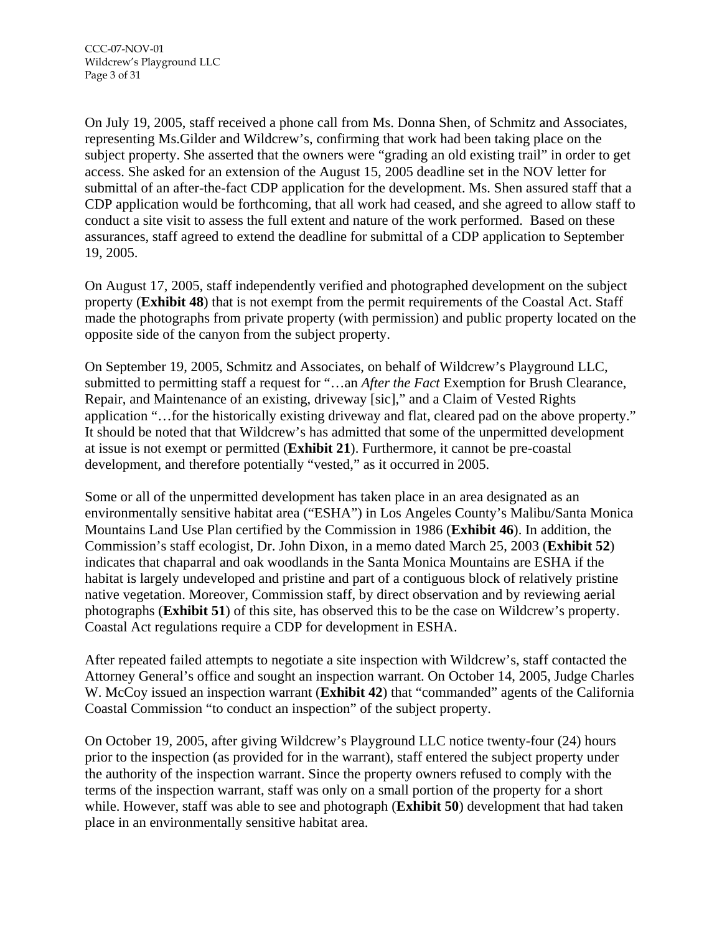On July 19, 2005, staff received a phone call from Ms. Donna Shen, of Schmitz and Associates, representing Ms.Gilder and Wildcrew's, confirming that work had been taking place on the subject property. She asserted that the owners were "grading an old existing trail" in order to get access. She asked for an extension of the August 15, 2005 deadline set in the NOV letter for submittal of an after-the-fact CDP application for the development. Ms. Shen assured staff that a CDP application would be forthcoming, that all work had ceased, and she agreed to allow staff to conduct a site visit to assess the full extent and nature of the work performed. Based on these assurances, staff agreed to extend the deadline for submittal of a CDP application to September 19, 2005.

On August 17, 2005, staff independently verified and photographed development on the subject property (**Exhibit 48**) that is not exempt from the permit requirements of the Coastal Act. Staff made the photographs from private property (with permission) and public property located on the opposite side of the canyon from the subject property.

On September 19, 2005, Schmitz and Associates, on behalf of Wildcrew's Playground LLC, submitted to permitting staff a request for "…an *After the Fact* Exemption for Brush Clearance, Repair, and Maintenance of an existing, driveway [sic]," and a Claim of Vested Rights application "…for the historically existing driveway and flat, cleared pad on the above property." It should be noted that that Wildcrew's has admitted that some of the unpermitted development at issue is not exempt or permitted (**Exhibit 21**). Furthermore, it cannot be pre-coastal development, and therefore potentially "vested," as it occurred in 2005.

Some or all of the unpermitted development has taken place in an area designated as an environmentally sensitive habitat area ("ESHA") in Los Angeles County's Malibu/Santa Monica Mountains Land Use Plan certified by the Commission in 1986 (**Exhibit 46**). In addition, the Commission's staff ecologist, Dr. John Dixon, in a memo dated March 25, 2003 (**Exhibit 52**) indicates that chaparral and oak woodlands in the Santa Monica Mountains are ESHA if the habitat is largely undeveloped and pristine and part of a contiguous block of relatively pristine native vegetation. Moreover, Commission staff, by direct observation and by reviewing aerial photographs (**Exhibit 51**) of this site, has observed this to be the case on Wildcrew's property. Coastal Act regulations require a CDP for development in ESHA.

After repeated failed attempts to negotiate a site inspection with Wildcrew's, staff contacted the Attorney General's office and sought an inspection warrant. On October 14, 2005, Judge Charles W. McCoy issued an inspection warrant (**Exhibit 42**) that "commanded" agents of the California Coastal Commission "to conduct an inspection" of the subject property.

On October 19, 2005, after giving Wildcrew's Playground LLC notice twenty-four (24) hours prior to the inspection (as provided for in the warrant), staff entered the subject property under the authority of the inspection warrant. Since the property owners refused to comply with the terms of the inspection warrant, staff was only on a small portion of the property for a short while. However, staff was able to see and photograph (**Exhibit 50**) development that had taken place in an environmentally sensitive habitat area.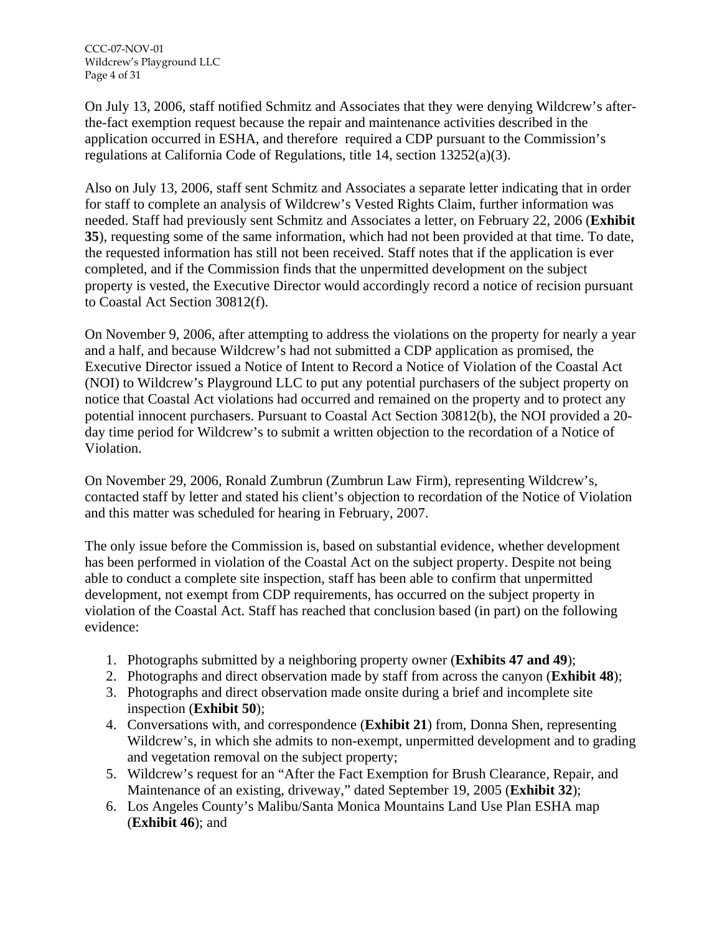On July 13, 2006, staff notified Schmitz and Associates that they were denying Wildcrew's afterthe-fact exemption request because the repair and maintenance activities described in the application occurred in ESHA, and therefore required a CDP pursuant to the Commission's regulations at California Code of Regulations, title 14, section 13252(a)(3).

Also on July 13, 2006, staff sent Schmitz and Associates a separate letter indicating that in order for staff to complete an analysis of Wildcrew's Vested Rights Claim, further information was needed. Staff had previously sent Schmitz and Associates a letter, on February 22, 2006 (**Exhibit 35**), requesting some of the same information, which had not been provided at that time. To date, the requested information has still not been received. Staff notes that if the application is ever completed, and if the Commission finds that the unpermitted development on the subject property is vested, the Executive Director would accordingly record a notice of recision pursuant to Coastal Act Section 30812(f).

On November 9, 2006, after attempting to address the violations on the property for nearly a year and a half, and because Wildcrew's had not submitted a CDP application as promised, the Executive Director issued a Notice of Intent to Record a Notice of Violation of the Coastal Act (NOI) to Wildcrew's Playground LLC to put any potential purchasers of the subject property on notice that Coastal Act violations had occurred and remained on the property and to protect any potential innocent purchasers. Pursuant to Coastal Act Section 30812(b), the NOI provided a 20 day time period for Wildcrew's to submit a written objection to the recordation of a Notice of Violation.

On November 29, 2006, Ronald Zumbrun (Zumbrun Law Firm), representing Wildcrew's, contacted staff by letter and stated his client's objection to recordation of the Notice of Violation and this matter was scheduled for hearing in February, 2007.

The only issue before the Commission is, based on substantial evidence, whether development has been performed in violation of the Coastal Act on the subject property. Despite not being able to conduct a complete site inspection, staff has been able to confirm that unpermitted development, not exempt from CDP requirements, has occurred on the subject property in violation of the Coastal Act. Staff has reached that conclusion based (in part) on the following evidence:

- 1. Photographs submitted by a neighboring property owner (**Exhibits 47 and 49**);
- 2. Photographs and direct observation made by staff from across the canyon (**Exhibit 48**);
- 3. Photographs and direct observation made onsite during a brief and incomplete site inspection (**Exhibit 50**);
- 4. Conversations with, and correspondence (**Exhibit 21**) from, Donna Shen, representing Wildcrew's, in which she admits to non-exempt, unpermitted development and to grading and vegetation removal on the subject property;
- 5. Wildcrew's request for an "After the Fact Exemption for Brush Clearance, Repair, and Maintenance of an existing, driveway," dated September 19, 2005 (**Exhibit 32**);
- 6. Los Angeles County's Malibu/Santa Monica Mountains Land Use Plan ESHA map (**Exhibit 46**); and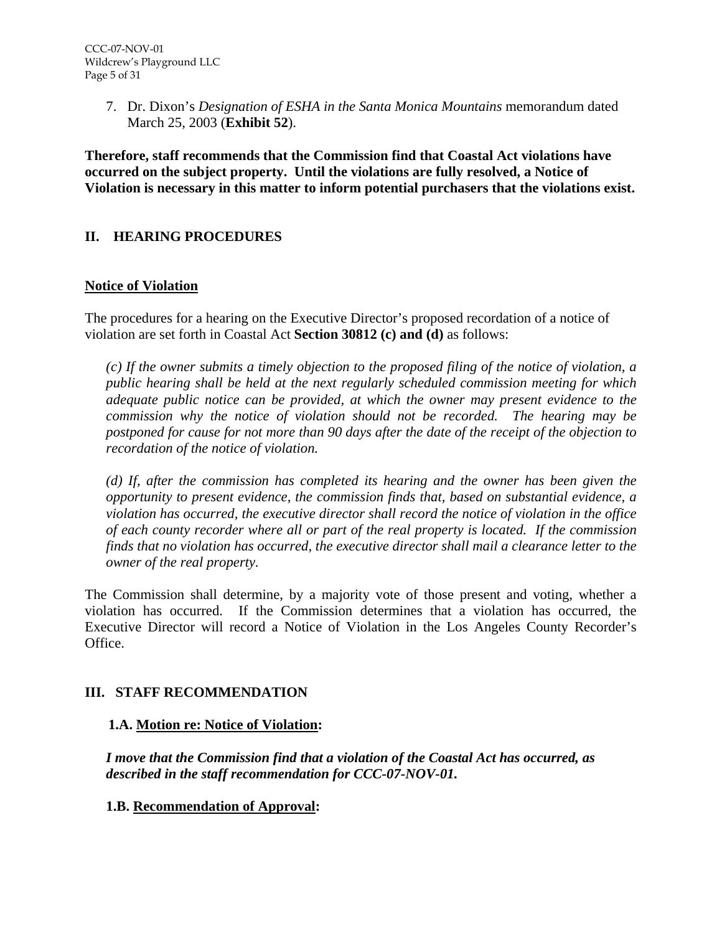7. Dr. Dixon's *Designation of ESHA in the Santa Monica Mountains* memorandum dated March 25, 2003 (**Exhibit 52**).

**Therefore, staff recommends that the Commission find that Coastal Act violations have occurred on the subject property. Until the violations are fully resolved, a Notice of Violation is necessary in this matter to inform potential purchasers that the violations exist.** 

### **II. HEARING PROCEDURES**

#### **Notice of Violation**

The procedures for a hearing on the Executive Director's proposed recordation of a notice of violation are set forth in Coastal Act **Section 30812 (c) and (d)** as follows:

*(c) If the owner submits a timely objection to the proposed filing of the notice of violation, a public hearing shall be held at the next regularly scheduled commission meeting for which adequate public notice can be provided, at which the owner may present evidence to the commission why the notice of violation should not be recorded. The hearing may be postponed for cause for not more than 90 days after the date of the receipt of the objection to recordation of the notice of violation.* 

*(d) If, after the commission has completed its hearing and the owner has been given the opportunity to present evidence, the commission finds that, based on substantial evidence, a violation has occurred, the executive director shall record the notice of violation in the office of each county recorder where all or part of the real property is located. If the commission finds that no violation has occurred, the executive director shall mail a clearance letter to the owner of the real property.* 

The Commission shall determine, by a majority vote of those present and voting, whether a violation has occurred. If the Commission determines that a violation has occurred, the Executive Director will record a Notice of Violation in the Los Angeles County Recorder's Office.

#### **III. STAFF RECOMMENDATION**

#### **1.A. Motion re: Notice of Violation:**

*I move that the Commission find that a violation of the Coastal Act has occurred, as described in the staff recommendation for CCC-07-NOV-01.* 

**1.B. Recommendation of Approval:**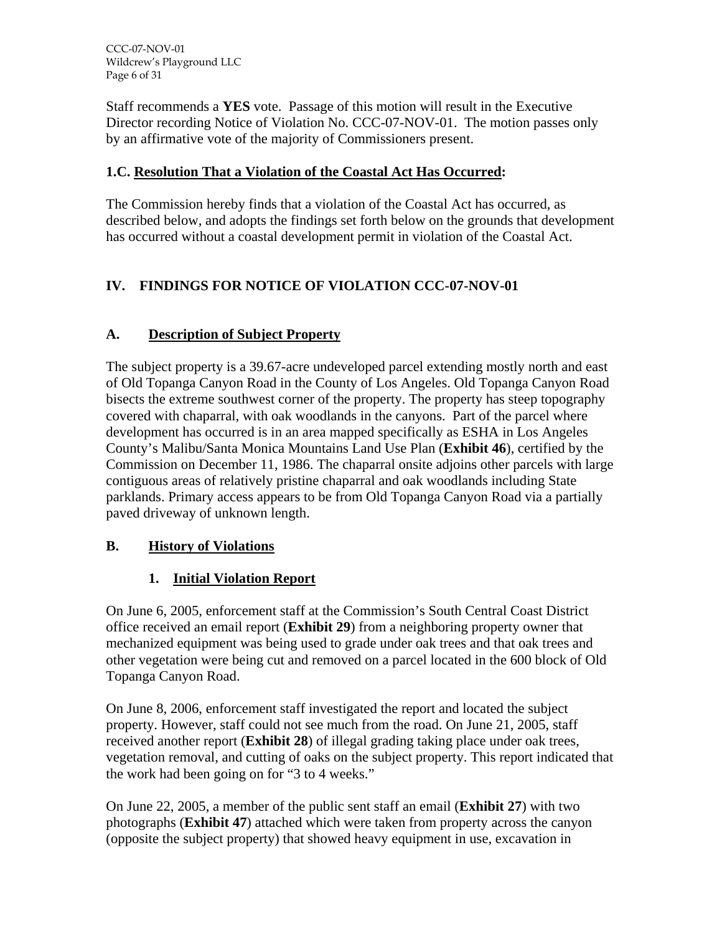Staff recommends a **YES** vote. Passage of this motion will result in the Executive Director recording Notice of Violation No. CCC-07-NOV-01. The motion passes only by an affirmative vote of the majority of Commissioners present.

# **1.C. Resolution That a Violation of the Coastal Act Has Occurred:**

The Commission hereby finds that a violation of the Coastal Act has occurred, as described below, and adopts the findings set forth below on the grounds that development has occurred without a coastal development permit in violation of the Coastal Act.

# **IV. FINDINGS FOR NOTICE OF VIOLATION CCC-07-NOV-01**

# **A. Description of Subject Property**

The subject property is a 39.67-acre undeveloped parcel extending mostly north and east of Old Topanga Canyon Road in the County of Los Angeles. Old Topanga Canyon Road bisects the extreme southwest corner of the property. The property has steep topography covered with chaparral, with oak woodlands in the canyons. Part of the parcel where development has occurred is in an area mapped specifically as ESHA in Los Angeles County's Malibu/Santa Monica Mountains Land Use Plan (**Exhibit 46**), certified by the Commission on December 11, 1986. The chaparral onsite adjoins other parcels with large contiguous areas of relatively pristine chaparral and oak woodlands including State parklands. Primary access appears to be from Old Topanga Canyon Road via a partially paved driveway of unknown length.

# **B. History of Violations**

# **1. Initial Violation Report**

On June 6, 2005, enforcement staff at the Commission's South Central Coast District office received an email report (**Exhibit 29**) from a neighboring property owner that mechanized equipment was being used to grade under oak trees and that oak trees and other vegetation were being cut and removed on a parcel located in the 600 block of Old Topanga Canyon Road.

On June 8, 2006, enforcement staff investigated the report and located the subject property. However, staff could not see much from the road. On June 21, 2005, staff received another report (**Exhibit 28**) of illegal grading taking place under oak trees, vegetation removal, and cutting of oaks on the subject property. This report indicated that the work had been going on for "3 to 4 weeks."

On June 22, 2005, a member of the public sent staff an email (**Exhibit 27**) with two photographs (**Exhibit 47**) attached which were taken from property across the canyon (opposite the subject property) that showed heavy equipment in use, excavation in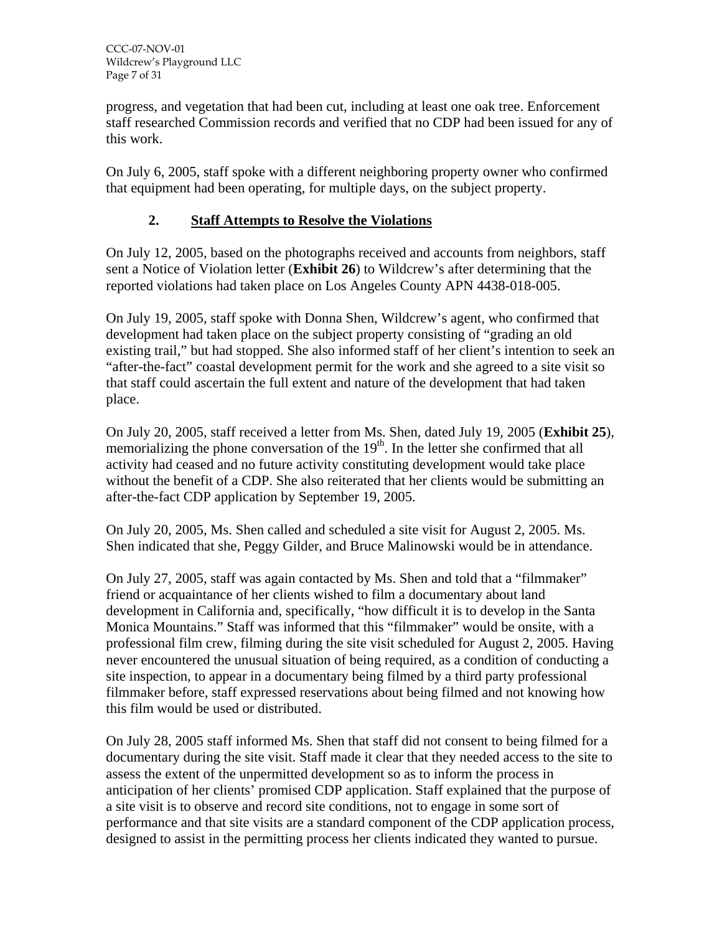progress, and vegetation that had been cut, including at least one oak tree. Enforcement staff researched Commission records and verified that no CDP had been issued for any of this work.

On July 6, 2005, staff spoke with a different neighboring property owner who confirmed that equipment had been operating, for multiple days, on the subject property.

# **2. Staff Attempts to Resolve the Violations**

On July 12, 2005, based on the photographs received and accounts from neighbors, staff sent a Notice of Violation letter (**Exhibit 26**) to Wildcrew's after determining that the reported violations had taken place on Los Angeles County APN 4438-018-005.

On July 19, 2005, staff spoke with Donna Shen, Wildcrew's agent, who confirmed that development had taken place on the subject property consisting of "grading an old existing trail," but had stopped. She also informed staff of her client's intention to seek an "after-the-fact" coastal development permit for the work and she agreed to a site visit so that staff could ascertain the full extent and nature of the development that had taken place.

On July 20, 2005, staff received a letter from Ms. Shen, dated July 19, 2005 (**Exhibit 25**), memorializing the phone conversation of the  $19<sup>th</sup>$ . In the letter she confirmed that all activity had ceased and no future activity constituting development would take place without the benefit of a CDP. She also reiterated that her clients would be submitting an after-the-fact CDP application by September 19, 2005.

On July 20, 2005, Ms. Shen called and scheduled a site visit for August 2, 2005. Ms. Shen indicated that she, Peggy Gilder, and Bruce Malinowski would be in attendance.

On July 27, 2005, staff was again contacted by Ms. Shen and told that a "filmmaker" friend or acquaintance of her clients wished to film a documentary about land development in California and, specifically, "how difficult it is to develop in the Santa Monica Mountains." Staff was informed that this "filmmaker" would be onsite, with a professional film crew, filming during the site visit scheduled for August 2, 2005. Having never encountered the unusual situation of being required, as a condition of conducting a site inspection, to appear in a documentary being filmed by a third party professional filmmaker before, staff expressed reservations about being filmed and not knowing how this film would be used or distributed.

On July 28, 2005 staff informed Ms. Shen that staff did not consent to being filmed for a documentary during the site visit. Staff made it clear that they needed access to the site to assess the extent of the unpermitted development so as to inform the process in anticipation of her clients' promised CDP application. Staff explained that the purpose of a site visit is to observe and record site conditions, not to engage in some sort of performance and that site visits are a standard component of the CDP application process, designed to assist in the permitting process her clients indicated they wanted to pursue.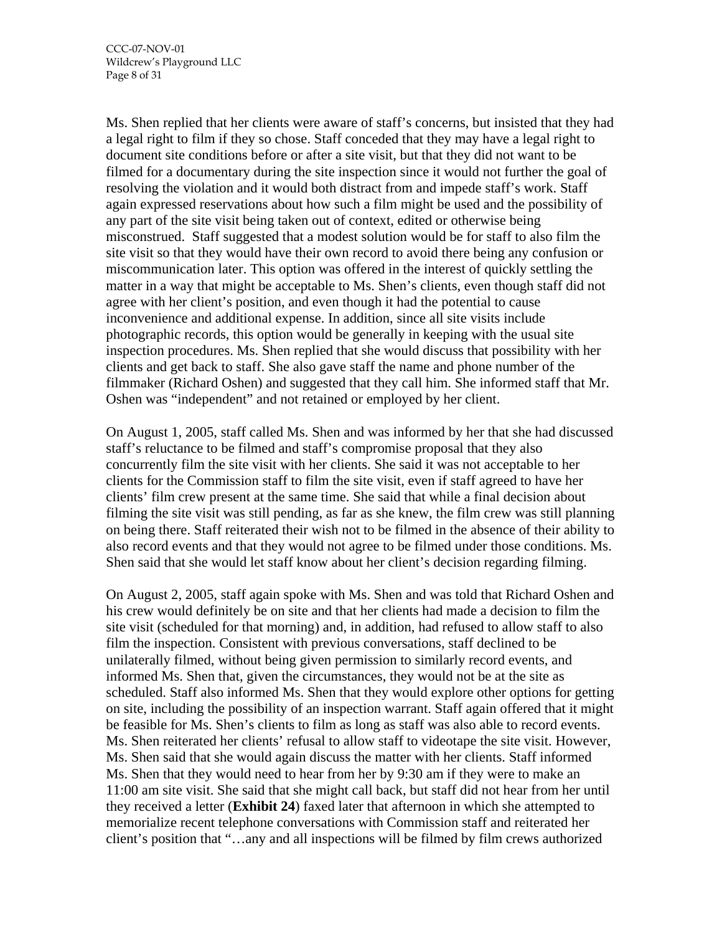Ms. Shen replied that her clients were aware of staff's concerns, but insisted that they had a legal right to film if they so chose. Staff conceded that they may have a legal right to document site conditions before or after a site visit, but that they did not want to be filmed for a documentary during the site inspection since it would not further the goal of resolving the violation and it would both distract from and impede staff's work. Staff again expressed reservations about how such a film might be used and the possibility of any part of the site visit being taken out of context, edited or otherwise being misconstrued. Staff suggested that a modest solution would be for staff to also film the site visit so that they would have their own record to avoid there being any confusion or miscommunication later. This option was offered in the interest of quickly settling the matter in a way that might be acceptable to Ms. Shen's clients, even though staff did not agree with her client's position, and even though it had the potential to cause inconvenience and additional expense. In addition, since all site visits include photographic records, this option would be generally in keeping with the usual site inspection procedures. Ms. Shen replied that she would discuss that possibility with her clients and get back to staff. She also gave staff the name and phone number of the filmmaker (Richard Oshen) and suggested that they call him. She informed staff that Mr. Oshen was "independent" and not retained or employed by her client.

On August 1, 2005, staff called Ms. Shen and was informed by her that she had discussed staff's reluctance to be filmed and staff's compromise proposal that they also concurrently film the site visit with her clients. She said it was not acceptable to her clients for the Commission staff to film the site visit, even if staff agreed to have her clients' film crew present at the same time. She said that while a final decision about filming the site visit was still pending, as far as she knew, the film crew was still planning on being there. Staff reiterated their wish not to be filmed in the absence of their ability to also record events and that they would not agree to be filmed under those conditions. Ms. Shen said that she would let staff know about her client's decision regarding filming.

On August 2, 2005, staff again spoke with Ms. Shen and was told that Richard Oshen and his crew would definitely be on site and that her clients had made a decision to film the site visit (scheduled for that morning) and, in addition, had refused to allow staff to also film the inspection. Consistent with previous conversations, staff declined to be unilaterally filmed, without being given permission to similarly record events, and informed Ms. Shen that, given the circumstances, they would not be at the site as scheduled. Staff also informed Ms. Shen that they would explore other options for getting on site, including the possibility of an inspection warrant. Staff again offered that it might be feasible for Ms. Shen's clients to film as long as staff was also able to record events. Ms. Shen reiterated her clients' refusal to allow staff to videotape the site visit. However, Ms. Shen said that she would again discuss the matter with her clients. Staff informed Ms. Shen that they would need to hear from her by 9:30 am if they were to make an 11:00 am site visit. She said that she might call back, but staff did not hear from her until they received a letter (**Exhibit 24**) faxed later that afternoon in which she attempted to memorialize recent telephone conversations with Commission staff and reiterated her client's position that "…any and all inspections will be filmed by film crews authorized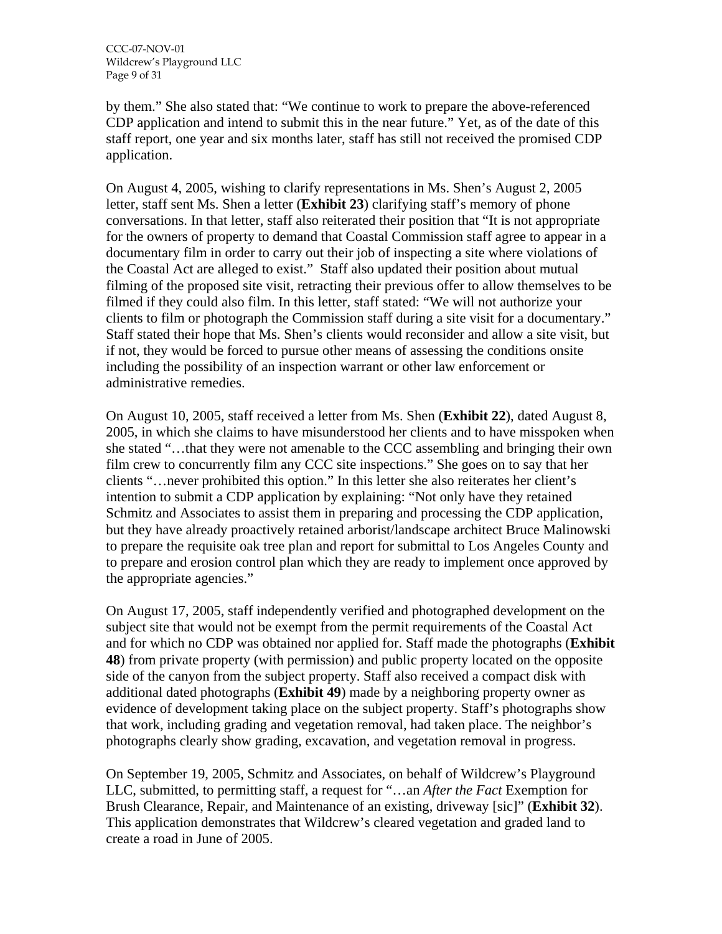by them." She also stated that: "We continue to work to prepare the above-referenced CDP application and intend to submit this in the near future." Yet, as of the date of this staff report, one year and six months later, staff has still not received the promised CDP application.

On August 4, 2005, wishing to clarify representations in Ms. Shen's August 2, 2005 letter, staff sent Ms. Shen a letter (**Exhibit 23**) clarifying staff's memory of phone conversations. In that letter, staff also reiterated their position that "It is not appropriate for the owners of property to demand that Coastal Commission staff agree to appear in a documentary film in order to carry out their job of inspecting a site where violations of the Coastal Act are alleged to exist." Staff also updated their position about mutual filming of the proposed site visit, retracting their previous offer to allow themselves to be filmed if they could also film. In this letter, staff stated: "We will not authorize your clients to film or photograph the Commission staff during a site visit for a documentary." Staff stated their hope that Ms. Shen's clients would reconsider and allow a site visit, but if not, they would be forced to pursue other means of assessing the conditions onsite including the possibility of an inspection warrant or other law enforcement or administrative remedies.

On August 10, 2005, staff received a letter from Ms. Shen (**Exhibit 22**), dated August 8, 2005, in which she claims to have misunderstood her clients and to have misspoken when she stated "…that they were not amenable to the CCC assembling and bringing their own film crew to concurrently film any CCC site inspections." She goes on to say that her clients "…never prohibited this option." In this letter she also reiterates her client's intention to submit a CDP application by explaining: "Not only have they retained Schmitz and Associates to assist them in preparing and processing the CDP application, but they have already proactively retained arborist/landscape architect Bruce Malinowski to prepare the requisite oak tree plan and report for submittal to Los Angeles County and to prepare and erosion control plan which they are ready to implement once approved by the appropriate agencies."

On August 17, 2005, staff independently verified and photographed development on the subject site that would not be exempt from the permit requirements of the Coastal Act and for which no CDP was obtained nor applied for. Staff made the photographs (**Exhibit 48**) from private property (with permission) and public property located on the opposite side of the canyon from the subject property. Staff also received a compact disk with additional dated photographs (**Exhibit 49**) made by a neighboring property owner as evidence of development taking place on the subject property. Staff's photographs show that work, including grading and vegetation removal, had taken place. The neighbor's photographs clearly show grading, excavation, and vegetation removal in progress.

On September 19, 2005, Schmitz and Associates, on behalf of Wildcrew's Playground LLC, submitted, to permitting staff, a request for "…an *After the Fact* Exemption for Brush Clearance, Repair, and Maintenance of an existing, driveway [sic]" (**Exhibit 32**). This application demonstrates that Wildcrew's cleared vegetation and graded land to create a road in June of 2005.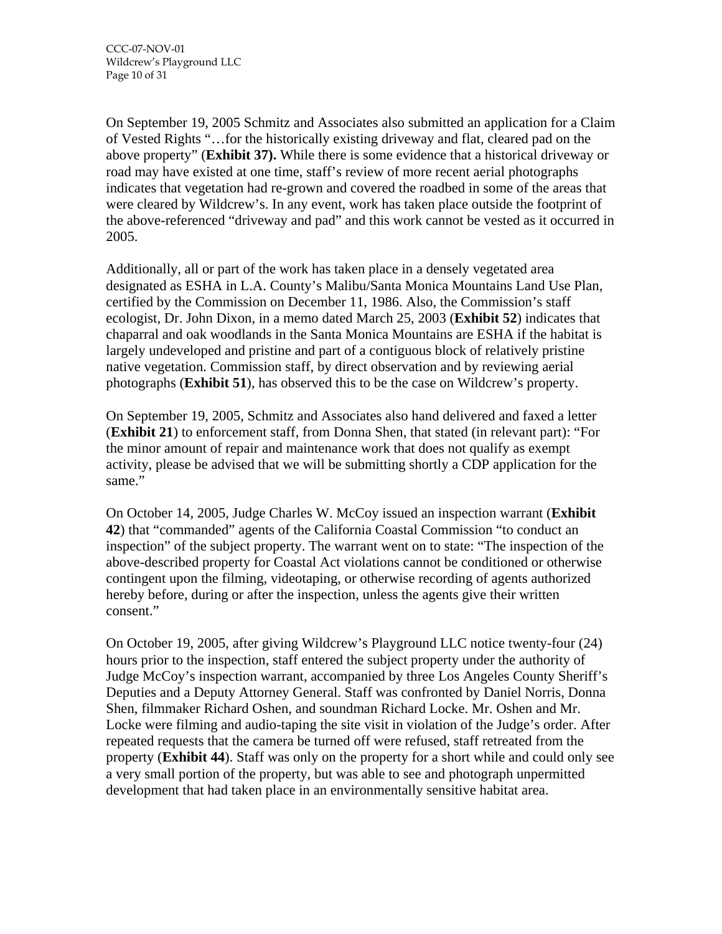On September 19, 2005 Schmitz and Associates also submitted an application for a Claim of Vested Rights "…for the historically existing driveway and flat, cleared pad on the above property" (**Exhibit 37).** While there is some evidence that a historical driveway or road may have existed at one time, staff's review of more recent aerial photographs indicates that vegetation had re-grown and covered the roadbed in some of the areas that were cleared by Wildcrew's. In any event, work has taken place outside the footprint of the above-referenced "driveway and pad" and this work cannot be vested as it occurred in 2005.

Additionally, all or part of the work has taken place in a densely vegetated area designated as ESHA in L.A. County's Malibu/Santa Monica Mountains Land Use Plan, certified by the Commission on December 11, 1986. Also, the Commission's staff ecologist, Dr. John Dixon, in a memo dated March 25, 2003 (**Exhibit 52**) indicates that chaparral and oak woodlands in the Santa Monica Mountains are ESHA if the habitat is largely undeveloped and pristine and part of a contiguous block of relatively pristine native vegetation. Commission staff, by direct observation and by reviewing aerial photographs (**Exhibit 51**), has observed this to be the case on Wildcrew's property.

On September 19, 2005, Schmitz and Associates also hand delivered and faxed a letter (**Exhibit 21**) to enforcement staff, from Donna Shen, that stated (in relevant part): "For the minor amount of repair and maintenance work that does not qualify as exempt activity, please be advised that we will be submitting shortly a CDP application for the same."

On October 14, 2005, Judge Charles W. McCoy issued an inspection warrant (**Exhibit 42**) that "commanded" agents of the California Coastal Commission "to conduct an inspection" of the subject property. The warrant went on to state: "The inspection of the above-described property for Coastal Act violations cannot be conditioned or otherwise contingent upon the filming, videotaping, or otherwise recording of agents authorized hereby before, during or after the inspection, unless the agents give their written consent."

On October 19, 2005, after giving Wildcrew's Playground LLC notice twenty-four (24) hours prior to the inspection, staff entered the subject property under the authority of Judge McCoy's inspection warrant, accompanied by three Los Angeles County Sheriff's Deputies and a Deputy Attorney General. Staff was confronted by Daniel Norris, Donna Shen, filmmaker Richard Oshen, and soundman Richard Locke. Mr. Oshen and Mr. Locke were filming and audio-taping the site visit in violation of the Judge's order. After repeated requests that the camera be turned off were refused, staff retreated from the property (**Exhibit 44**). Staff was only on the property for a short while and could only see a very small portion of the property, but was able to see and photograph unpermitted development that had taken place in an environmentally sensitive habitat area.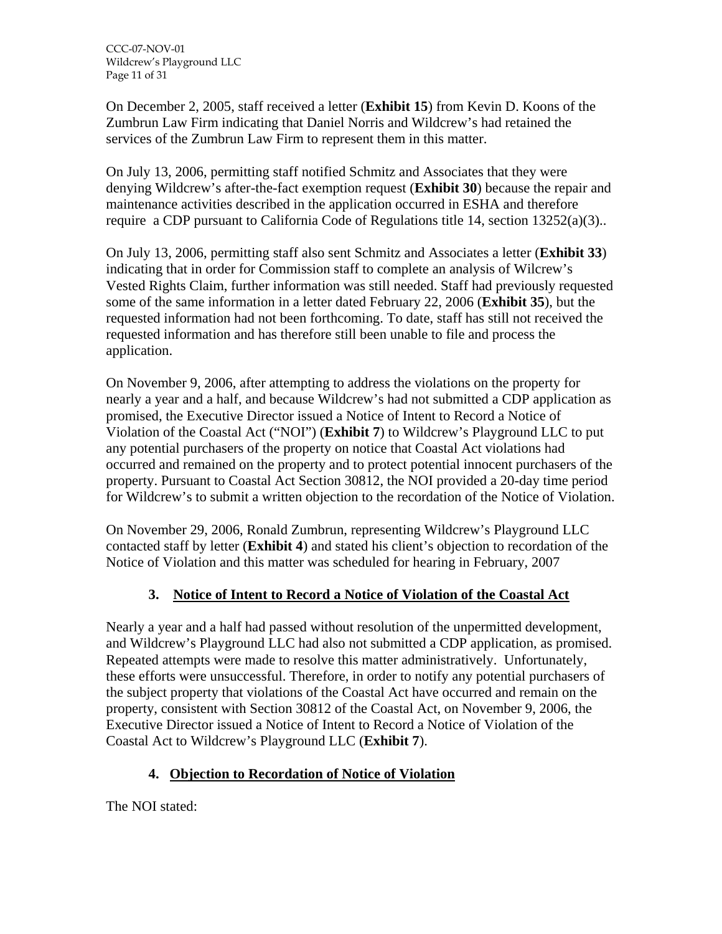CCC-07-NOV-01 Wildcrew's Playground LLC Page 11 of 31

On December 2, 2005, staff received a letter (**Exhibit 15**) from Kevin D. Koons of the Zumbrun Law Firm indicating that Daniel Norris and Wildcrew's had retained the services of the Zumbrun Law Firm to represent them in this matter.

On July 13, 2006, permitting staff notified Schmitz and Associates that they were denying Wildcrew's after-the-fact exemption request (**Exhibit 30**) because the repair and maintenance activities described in the application occurred in ESHA and therefore require a CDP pursuant to California Code of Regulations title 14, section 13252(a)(3)..

On July 13, 2006, permitting staff also sent Schmitz and Associates a letter (**Exhibit 33**) indicating that in order for Commission staff to complete an analysis of Wilcrew's Vested Rights Claim, further information was still needed. Staff had previously requested some of the same information in a letter dated February 22, 2006 (**Exhibit 35**), but the requested information had not been forthcoming. To date, staff has still not received the requested information and has therefore still been unable to file and process the application.

On November 9, 2006, after attempting to address the violations on the property for nearly a year and a half, and because Wildcrew's had not submitted a CDP application as promised, the Executive Director issued a Notice of Intent to Record a Notice of Violation of the Coastal Act ("NOI") (**Exhibit 7**) to Wildcrew's Playground LLC to put any potential purchasers of the property on notice that Coastal Act violations had occurred and remained on the property and to protect potential innocent purchasers of the property. Pursuant to Coastal Act Section 30812, the NOI provided a 20-day time period for Wildcrew's to submit a written objection to the recordation of the Notice of Violation.

On November 29, 2006, Ronald Zumbrun, representing Wildcrew's Playground LLC contacted staff by letter (**Exhibit 4**) and stated his client's objection to recordation of the Notice of Violation and this matter was scheduled for hearing in February, 2007

# **3. Notice of Intent to Record a Notice of Violation of the Coastal Act**

Nearly a year and a half had passed without resolution of the unpermitted development, and Wildcrew's Playground LLC had also not submitted a CDP application, as promised. Repeated attempts were made to resolve this matter administratively. Unfortunately, these efforts were unsuccessful. Therefore, in order to notify any potential purchasers of the subject property that violations of the Coastal Act have occurred and remain on the property, consistent with Section 30812 of the Coastal Act, on November 9, 2006, the Executive Director issued a Notice of Intent to Record a Notice of Violation of the Coastal Act to Wildcrew's Playground LLC (**Exhibit 7**).

# **4. Objection to Recordation of Notice of Violation**

The NOI stated: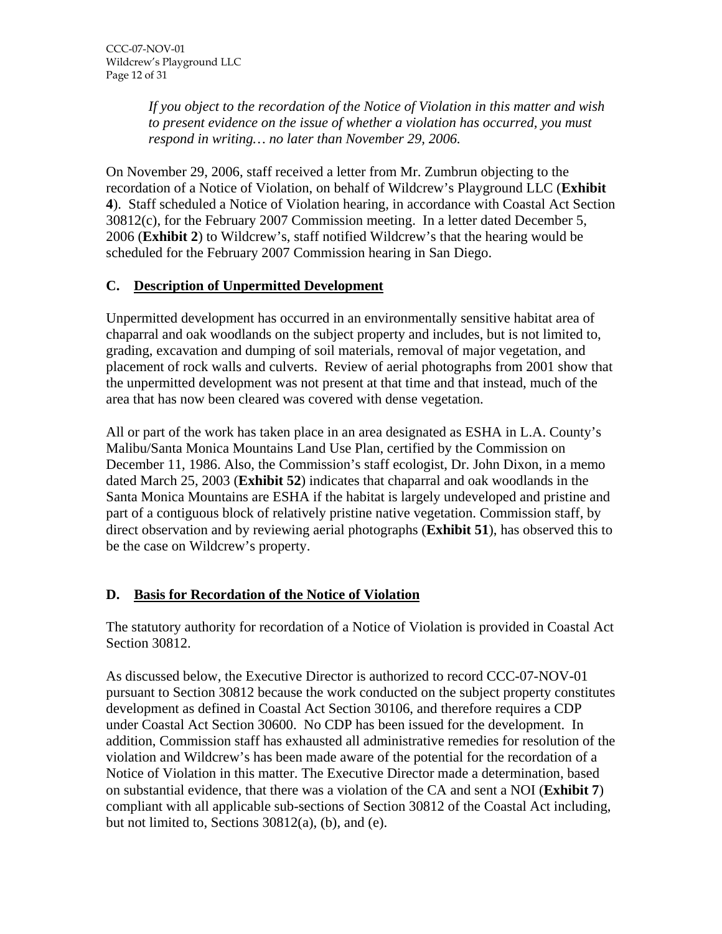*If you object to the recordation of the Notice of Violation in this matter and wish to present evidence on the issue of whether a violation has occurred, you must respond in writing… no later than November 29, 2006.* 

On November 29, 2006, staff received a letter from Mr. Zumbrun objecting to the recordation of a Notice of Violation, on behalf of Wildcrew's Playground LLC (**Exhibit 4**). Staff scheduled a Notice of Violation hearing, in accordance with Coastal Act Section 30812(c), for the February 2007 Commission meeting. In a letter dated December 5, 2006 (**Exhibit 2**) to Wildcrew's, staff notified Wildcrew's that the hearing would be scheduled for the February 2007 Commission hearing in San Diego.

# **C. Description of Unpermitted Development**

Unpermitted development has occurred in an environmentally sensitive habitat area of chaparral and oak woodlands on the subject property and includes, but is not limited to, grading, excavation and dumping of soil materials, removal of major vegetation, and placement of rock walls and culverts. Review of aerial photographs from 2001 show that the unpermitted development was not present at that time and that instead, much of the area that has now been cleared was covered with dense vegetation.

All or part of the work has taken place in an area designated as ESHA in L.A. County's Malibu/Santa Monica Mountains Land Use Plan, certified by the Commission on December 11, 1986. Also, the Commission's staff ecologist, Dr. John Dixon, in a memo dated March 25, 2003 (**Exhibit 52**) indicates that chaparral and oak woodlands in the Santa Monica Mountains are ESHA if the habitat is largely undeveloped and pristine and part of a contiguous block of relatively pristine native vegetation. Commission staff, by direct observation and by reviewing aerial photographs (**Exhibit 51**), has observed this to be the case on Wildcrew's property.

#### **D. Basis for Recordation of the Notice of Violation**

The statutory authority for recordation of a Notice of Violation is provided in Coastal Act Section 30812.

As discussed below, the Executive Director is authorized to record CCC-07-NOV-01 pursuant to Section 30812 because the work conducted on the subject property constitutes development as defined in Coastal Act Section 30106, and therefore requires a CDP under Coastal Act Section 30600. No CDP has been issued for the development. In addition, Commission staff has exhausted all administrative remedies for resolution of the violation and Wildcrew's has been made aware of the potential for the recordation of a Notice of Violation in this matter. The Executive Director made a determination, based on substantial evidence, that there was a violation of the CA and sent a NOI (**Exhibit 7**) compliant with all applicable sub-sections of Section 30812 of the Coastal Act including, but not limited to, Sections  $30812(a)$ , (b), and (e).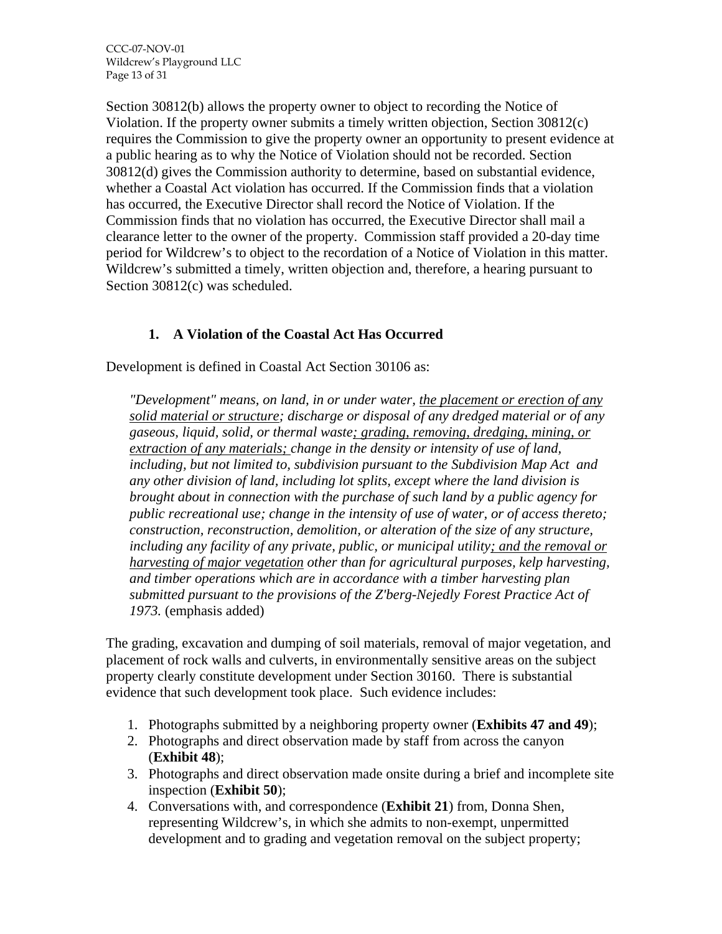Section 30812(b) allows the property owner to object to recording the Notice of Violation. If the property owner submits a timely written objection, Section 30812(c) requires the Commission to give the property owner an opportunity to present evidence at a public hearing as to why the Notice of Violation should not be recorded. Section 30812(d) gives the Commission authority to determine, based on substantial evidence, whether a Coastal Act violation has occurred. If the Commission finds that a violation has occurred, the Executive Director shall record the Notice of Violation. If the Commission finds that no violation has occurred, the Executive Director shall mail a clearance letter to the owner of the property. Commission staff provided a 20-day time period for Wildcrew's to object to the recordation of a Notice of Violation in this matter. Wildcrew's submitted a timely, written objection and, therefore, a hearing pursuant to Section 30812(c) was scheduled.

# **1. A Violation of the Coastal Act Has Occurred**

Development is defined in Coastal Act Section 30106 as:

*"Development" means, on land, in or under water, the placement or erection of any solid material or structure; discharge or disposal of any dredged material or of any gaseous, liquid, solid, or thermal waste; grading, removing, dredging, mining, or extraction of any materials; change in the density or intensity of use of land, including, but not limited to, subdivision pursuant to the Subdivision Map Act and any other division of land, including lot splits, except where the land division is brought about in connection with the purchase of such land by a public agency for public recreational use; change in the intensity of use of water, or of access thereto; construction, reconstruction, demolition, or alteration of the size of any structure, including any facility of any private, public, or municipal utility; and the removal or harvesting of major vegetation other than for agricultural purposes, kelp harvesting, and timber operations which are in accordance with a timber harvesting plan submitted pursuant to the provisions of the Z'berg-Nejedly Forest Practice Act of 1973.* (emphasis added)

The grading, excavation and dumping of soil materials, removal of major vegetation, and placement of rock walls and culverts, in environmentally sensitive areas on the subject property clearly constitute development under Section 30160. There is substantial evidence that such development took place. Such evidence includes:

- 1. Photographs submitted by a neighboring property owner (**Exhibits 47 and 49**);
- 2. Photographs and direct observation made by staff from across the canyon (**Exhibit 48**);
- 3. Photographs and direct observation made onsite during a brief and incomplete site inspection (**Exhibit 50**);
- 4. Conversations with, and correspondence (**Exhibit 21**) from, Donna Shen, representing Wildcrew's, in which she admits to non-exempt, unpermitted development and to grading and vegetation removal on the subject property;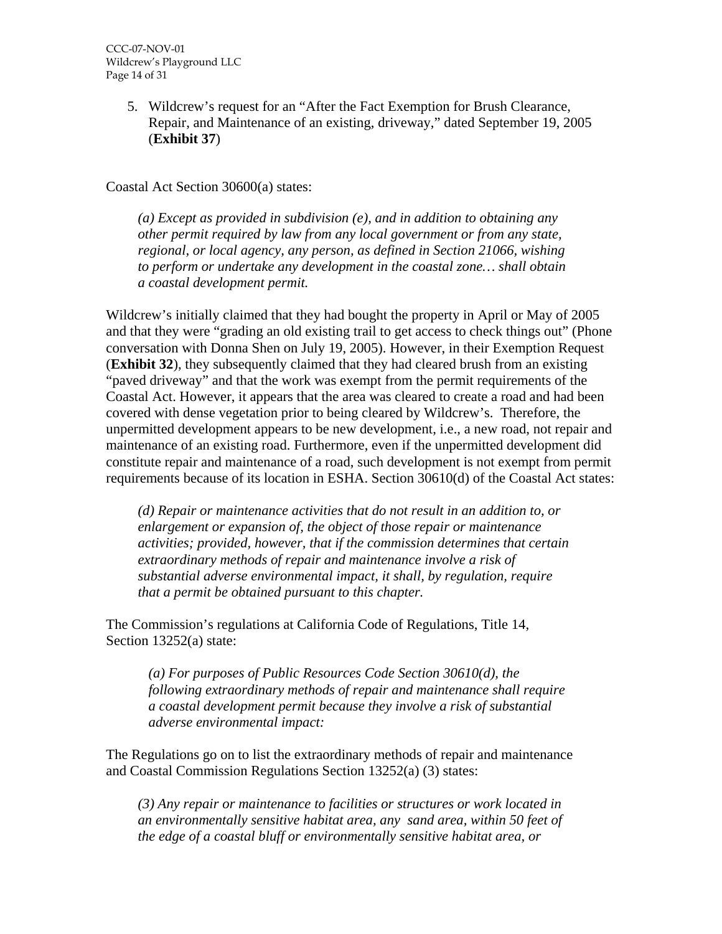5. Wildcrew's request for an "After the Fact Exemption for Brush Clearance, Repair, and Maintenance of an existing, driveway," dated September 19, 2005 (**Exhibit 37**)

Coastal Act Section 30600(a) states:

*(a) Except as provided in subdivision (e), and in addition to obtaining any other permit required by law from any local government or from any state, regional, or local agency, any person, as defined in Section 21066, wishing to perform or undertake any development in the coastal zone… shall obtain a coastal development permit.* 

Wildcrew's initially claimed that they had bought the property in April or May of 2005 and that they were "grading an old existing trail to get access to check things out" (Phone conversation with Donna Shen on July 19, 2005). However, in their Exemption Request (**Exhibit 32**), they subsequently claimed that they had cleared brush from an existing "paved driveway" and that the work was exempt from the permit requirements of the Coastal Act. However, it appears that the area was cleared to create a road and had been covered with dense vegetation prior to being cleared by Wildcrew's. Therefore, the unpermitted development appears to be new development, i.e., a new road, not repair and maintenance of an existing road. Furthermore, even if the unpermitted development did constitute repair and maintenance of a road, such development is not exempt from permit requirements because of its location in ESHA. Section 30610(d) of the Coastal Act states:

*(d) Repair or maintenance activities that do not result in an addition to, or enlargement or expansion of, the object of those repair or maintenance activities; provided, however, that if the commission determines that certain extraordinary methods of repair and maintenance involve a risk of substantial adverse environmental impact, it shall, by regulation, require that a permit be obtained pursuant to this chapter.*

The Commission's regulations at California Code of Regulations, Title 14, Section 13252(a) state:

*(a) For purposes of Public Resources Code Section 30610(d), the following extraordinary methods of repair and maintenance shall require a coastal development permit because they involve a risk of substantial adverse environmental impact:* 

The Regulations go on to list the extraordinary methods of repair and maintenance and Coastal Commission Regulations Section 13252(a) (3) states:

*(3) Any repair or maintenance to facilities or structures or work located in an environmentally sensitive habitat area, any sand area, within 50 feet of the edge of a coastal bluff or environmentally sensitive habitat area, or*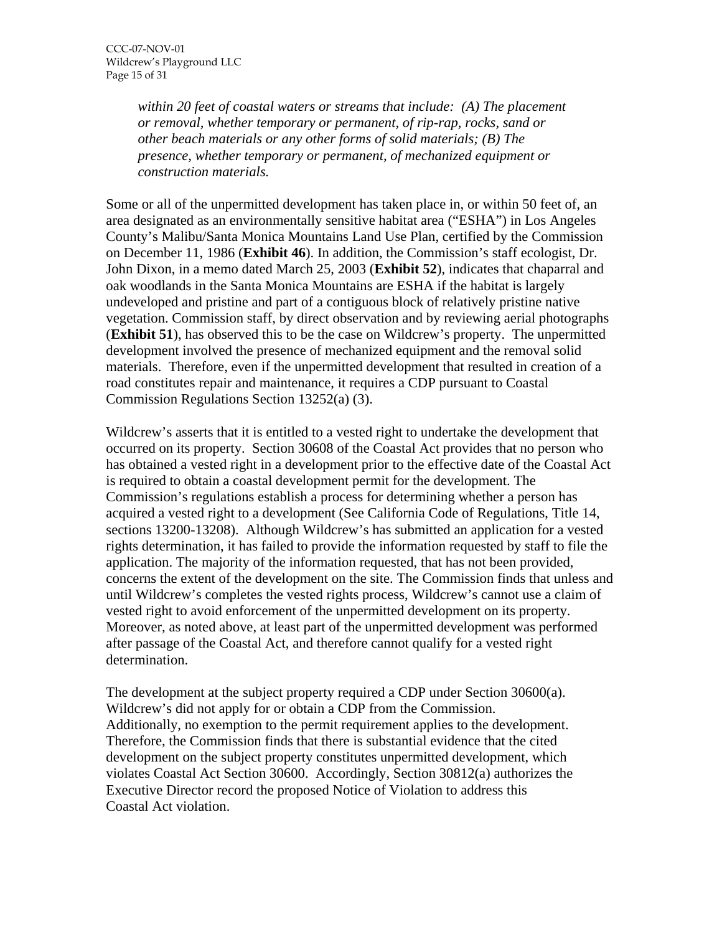*within 20 feet of coastal waters or streams that include: (A) The placement or removal, whether temporary or permanent, of rip-rap, rocks, sand or other beach materials or any other forms of solid materials; (B) The presence, whether temporary or permanent, of mechanized equipment or construction materials.*

Some or all of the unpermitted development has taken place in, or within 50 feet of, an area designated as an environmentally sensitive habitat area ("ESHA") in Los Angeles County's Malibu/Santa Monica Mountains Land Use Plan, certified by the Commission on December 11, 1986 (**Exhibit 46**). In addition, the Commission's staff ecologist, Dr. John Dixon, in a memo dated March 25, 2003 (**Exhibit 52**), indicates that chaparral and oak woodlands in the Santa Monica Mountains are ESHA if the habitat is largely undeveloped and pristine and part of a contiguous block of relatively pristine native vegetation. Commission staff, by direct observation and by reviewing aerial photographs (**Exhibit 51**), has observed this to be the case on Wildcrew's property. The unpermitted development involved the presence of mechanized equipment and the removal solid materials. Therefore, even if the unpermitted development that resulted in creation of a road constitutes repair and maintenance, it requires a CDP pursuant to Coastal Commission Regulations Section 13252(a) (3).

Wildcrew's asserts that it is entitled to a vested right to undertake the development that occurred on its property. Section 30608 of the Coastal Act provides that no person who has obtained a vested right in a development prior to the effective date of the Coastal Act is required to obtain a coastal development permit for the development. The Commission's regulations establish a process for determining whether a person has acquired a vested right to a development (See California Code of Regulations, Title 14, sections 13200-13208). Although Wildcrew's has submitted an application for a vested rights determination, it has failed to provide the information requested by staff to file the application. The majority of the information requested, that has not been provided, concerns the extent of the development on the site. The Commission finds that unless and until Wildcrew's completes the vested rights process, Wildcrew's cannot use a claim of vested right to avoid enforcement of the unpermitted development on its property. Moreover, as noted above, at least part of the unpermitted development was performed after passage of the Coastal Act, and therefore cannot qualify for a vested right determination.

The development at the subject property required a CDP under Section 30600(a). Wildcrew's did not apply for or obtain a CDP from the Commission. Additionally, no exemption to the permit requirement applies to the development. Therefore, the Commission finds that there is substantial evidence that the cited development on the subject property constitutes unpermitted development, which violates Coastal Act Section 30600. Accordingly, Section 30812(a) authorizes the Executive Director record the proposed Notice of Violation to address this Coastal Act violation.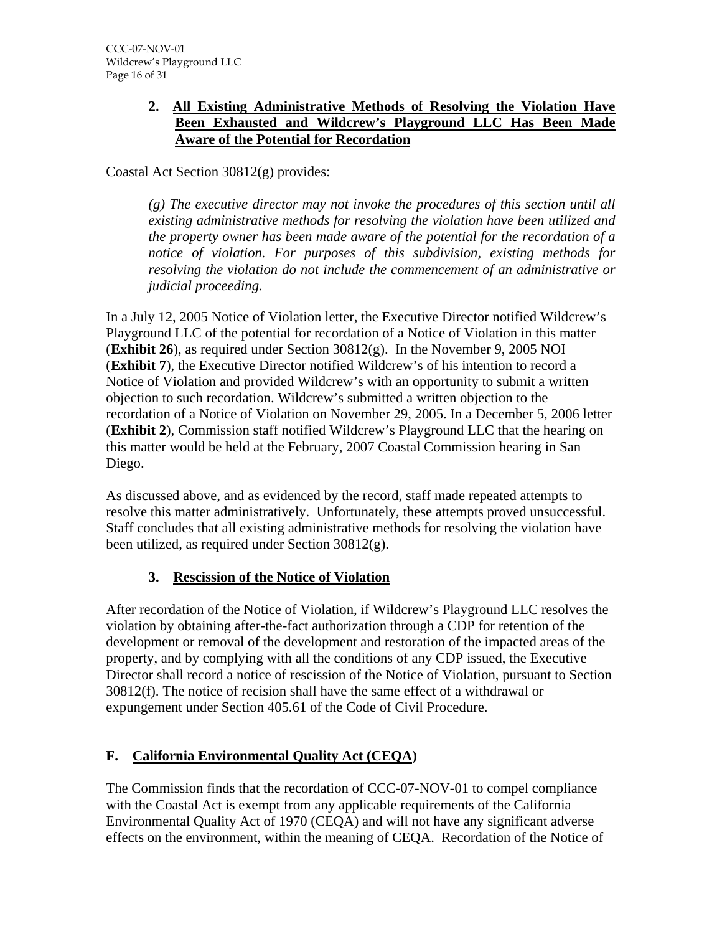#### **2. All Existing Administrative Methods of Resolving the Violation Have Been Exhausted and Wildcrew's Playground LLC Has Been Made Aware of the Potential for Recordation**

Coastal Act Section 30812(g) provides:

*(g) The executive director may not invoke the procedures of this section until all existing administrative methods for resolving the violation have been utilized and the property owner has been made aware of the potential for the recordation of a notice of violation. For purposes of this subdivision, existing methods for resolving the violation do not include the commencement of an administrative or judicial proceeding.* 

In a July 12, 2005 Notice of Violation letter, the Executive Director notified Wildcrew's Playground LLC of the potential for recordation of a Notice of Violation in this matter (**Exhibit 26**), as required under Section 30812(g). In the November 9, 2005 NOI (**Exhibit 7**), the Executive Director notified Wildcrew's of his intention to record a Notice of Violation and provided Wildcrew's with an opportunity to submit a written objection to such recordation. Wildcrew's submitted a written objection to the recordation of a Notice of Violation on November 29, 2005. In a December 5, 2006 letter (**Exhibit 2**), Commission staff notified Wildcrew's Playground LLC that the hearing on this matter would be held at the February, 2007 Coastal Commission hearing in San Diego.

As discussed above, and as evidenced by the record, staff made repeated attempts to resolve this matter administratively. Unfortunately, these attempts proved unsuccessful. Staff concludes that all existing administrative methods for resolving the violation have been utilized, as required under Section 30812(g).

# **3. Rescission of the Notice of Violation**

After recordation of the Notice of Violation, if Wildcrew's Playground LLC resolves the violation by obtaining after-the-fact authorization through a CDP for retention of the development or removal of the development and restoration of the impacted areas of the property, and by complying with all the conditions of any CDP issued, the Executive Director shall record a notice of rescission of the Notice of Violation, pursuant to Section 30812(f). The notice of recision shall have the same effect of a withdrawal or expungement under Section 405.61 of the Code of Civil Procedure.

# **F. California Environmental Quality Act (CEQA)**

The Commission finds that the recordation of CCC-07-NOV-01 to compel compliance with the Coastal Act is exempt from any applicable requirements of the California Environmental Quality Act of 1970 (CEQA) and will not have any significant adverse effects on the environment, within the meaning of CEQA. Recordation of the Notice of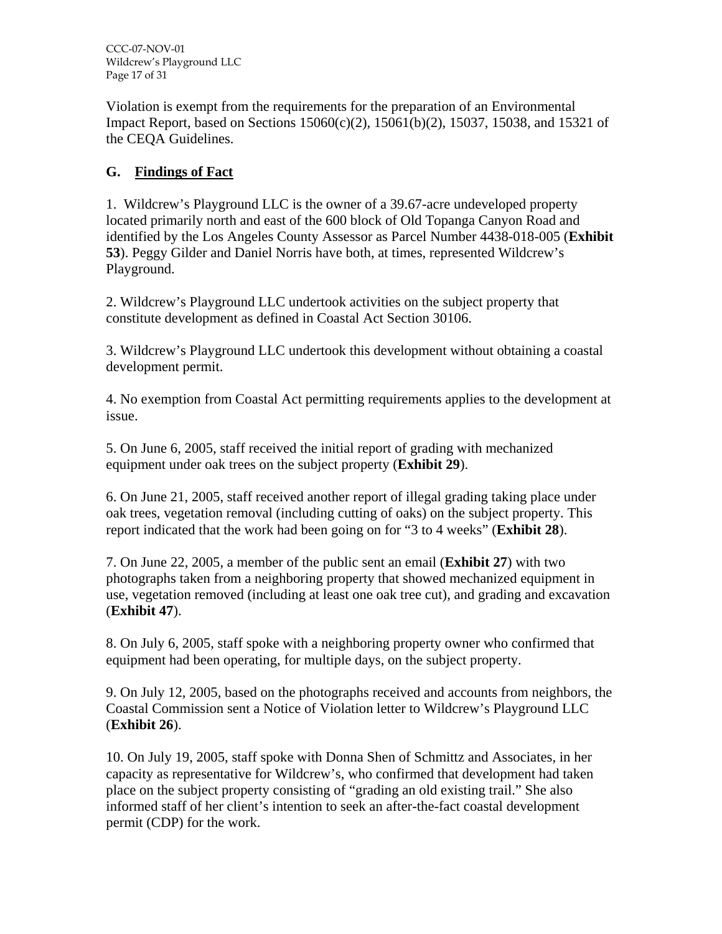CCC-07-NOV-01 Wildcrew's Playground LLC Page 17 of 31

Violation is exempt from the requirements for the preparation of an Environmental Impact Report, based on Sections 15060(c)(2), 15061(b)(2), 15037, 15038, and 15321 of the CEQA Guidelines.

# **G. Findings of Fact**

1. Wildcrew's Playground LLC is the owner of a 39.67-acre undeveloped property located primarily north and east of the 600 block of Old Topanga Canyon Road and identified by the Los Angeles County Assessor as Parcel Number 4438-018-005 (**Exhibit 53**). Peggy Gilder and Daniel Norris have both, at times, represented Wildcrew's Playground.

2. Wildcrew's Playground LLC undertook activities on the subject property that constitute development as defined in Coastal Act Section 30106.

3. Wildcrew's Playground LLC undertook this development without obtaining a coastal development permit.

4. No exemption from Coastal Act permitting requirements applies to the development at issue.

5. On June 6, 2005, staff received the initial report of grading with mechanized equipment under oak trees on the subject property (**Exhibit 29**).

6. On June 21, 2005, staff received another report of illegal grading taking place under oak trees, vegetation removal (including cutting of oaks) on the subject property. This report indicated that the work had been going on for "3 to 4 weeks" (**Exhibit 28**).

7. On June 22, 2005, a member of the public sent an email (**Exhibit 27**) with two photographs taken from a neighboring property that showed mechanized equipment in use, vegetation removed (including at least one oak tree cut), and grading and excavation (**Exhibit 47**).

8. On July 6, 2005, staff spoke with a neighboring property owner who confirmed that equipment had been operating, for multiple days, on the subject property.

9. On July 12, 2005, based on the photographs received and accounts from neighbors, the Coastal Commission sent a Notice of Violation letter to Wildcrew's Playground LLC (**Exhibit 26**).

10. On July 19, 2005, staff spoke with Donna Shen of Schmittz and Associates, in her capacity as representative for Wildcrew's, who confirmed that development had taken place on the subject property consisting of "grading an old existing trail." She also informed staff of her client's intention to seek an after-the-fact coastal development permit (CDP) for the work.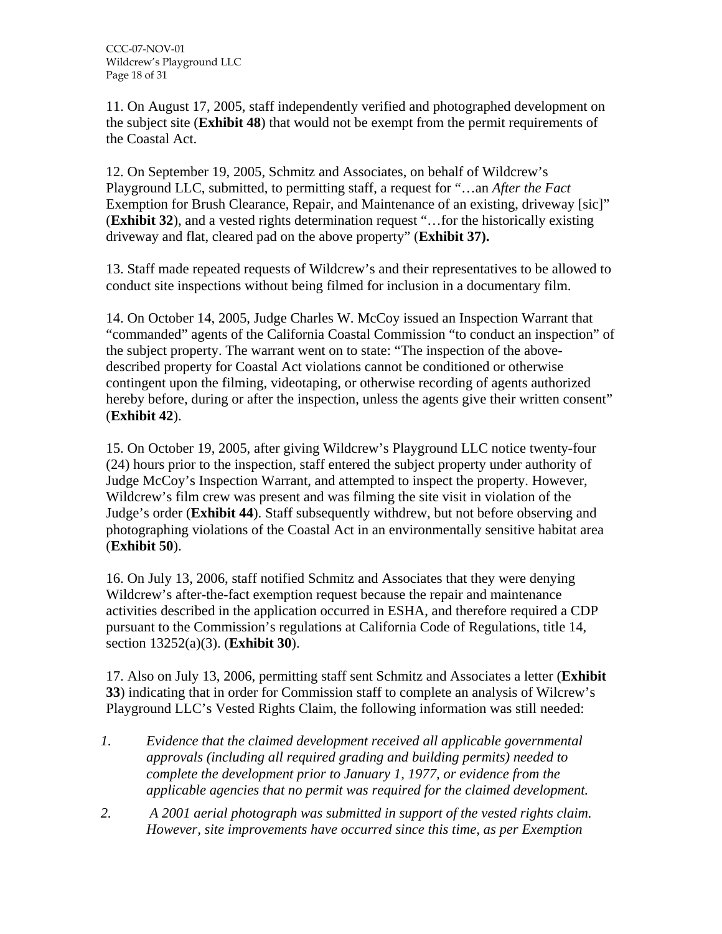11. On August 17, 2005, staff independently verified and photographed development on the subject site (**Exhibit 48**) that would not be exempt from the permit requirements of the Coastal Act.

12. On September 19, 2005, Schmitz and Associates, on behalf of Wildcrew's Playground LLC, submitted, to permitting staff, a request for "…an *After the Fact* Exemption for Brush Clearance, Repair, and Maintenance of an existing, driveway [sic]" (**Exhibit 32**), and a vested rights determination request "…for the historically existing driveway and flat, cleared pad on the above property" (**Exhibit 37).**

13. Staff made repeated requests of Wildcrew's and their representatives to be allowed to conduct site inspections without being filmed for inclusion in a documentary film.

14. On October 14, 2005, Judge Charles W. McCoy issued an Inspection Warrant that "commanded" agents of the California Coastal Commission "to conduct an inspection" of the subject property. The warrant went on to state: "The inspection of the abovedescribed property for Coastal Act violations cannot be conditioned or otherwise contingent upon the filming, videotaping, or otherwise recording of agents authorized hereby before, during or after the inspection, unless the agents give their written consent" (**Exhibit 42**).

15. On October 19, 2005, after giving Wildcrew's Playground LLC notice twenty-four (24) hours prior to the inspection, staff entered the subject property under authority of Judge McCoy's Inspection Warrant, and attempted to inspect the property. However, Wildcrew's film crew was present and was filming the site visit in violation of the Judge's order (**Exhibit 44**). Staff subsequently withdrew, but not before observing and photographing violations of the Coastal Act in an environmentally sensitive habitat area (**Exhibit 50**).

16. On July 13, 2006, staff notified Schmitz and Associates that they were denying Wildcrew's after-the-fact exemption request because the repair and maintenance activities described in the application occurred in ESHA, and therefore required a CDP pursuant to the Commission's regulations at California Code of Regulations, title 14, section 13252(a)(3). (**Exhibit 30**).

17. Also on July 13, 2006, permitting staff sent Schmitz and Associates a letter (**Exhibit 33**) indicating that in order for Commission staff to complete an analysis of Wilcrew's Playground LLC's Vested Rights Claim, the following information was still needed:

- *1. Evidence that the claimed development received all applicable governmental approvals (including all required grading and building permits) needed to complete the development prior to January 1, 1977, or evidence from the applicable agencies that no permit was required for the claimed development.*
- *2. A 2001 aerial photograph was submitted in support of the vested rights claim. However, site improvements have occurred since this time, as per Exemption*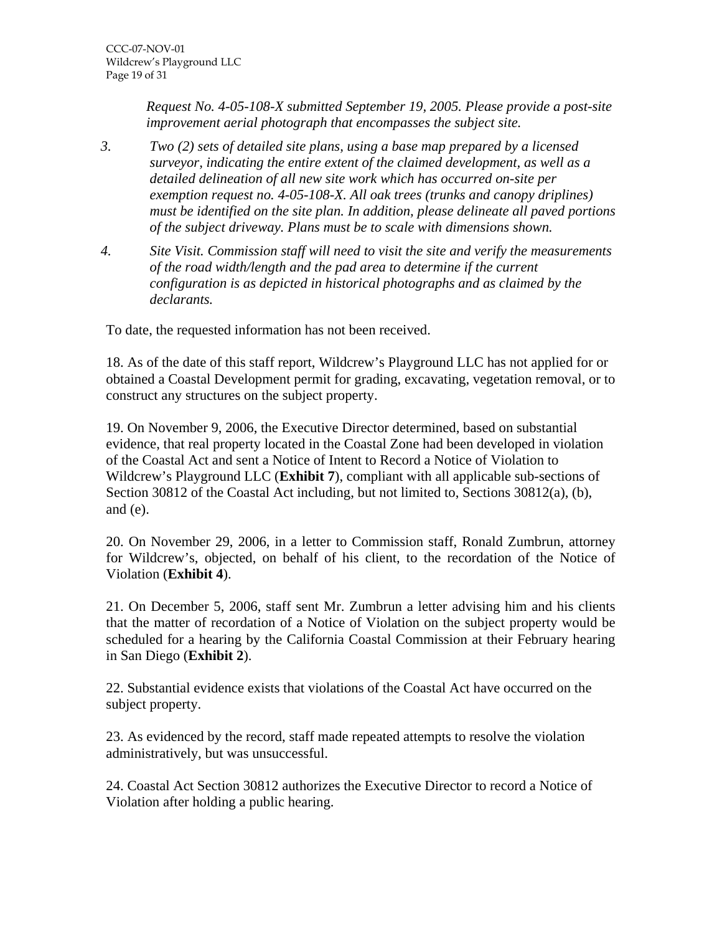*Request No. 4-05-108-X submitted September 19, 2005. Please provide a post-site improvement aerial photograph that encompasses the subject site.* 

- *3. Two (2) sets of detailed site plans, using a base map prepared by a licensed surveyor, indicating the entire extent of the claimed development, as well as a detailed delineation of all new site work which has occurred on-site per exemption request no. 4-05-108-X. All oak trees (trunks and canopy driplines) must be identified on the site plan. In addition, please delineate all paved portions of the subject driveway. Plans must be to scale with dimensions shown.*
- *4. Site Visit. Commission staff will need to visit the site and verify the measurements of the road width/length and the pad area to determine if the current configuration is as depicted in historical photographs and as claimed by the declarants.*

To date, the requested information has not been received.

18. As of the date of this staff report, Wildcrew's Playground LLC has not applied for or obtained a Coastal Development permit for grading, excavating, vegetation removal, or to construct any structures on the subject property.

19. On November 9, 2006, the Executive Director determined, based on substantial evidence, that real property located in the Coastal Zone had been developed in violation of the Coastal Act and sent a Notice of Intent to Record a Notice of Violation to Wildcrew's Playground LLC (**Exhibit 7**), compliant with all applicable sub-sections of Section 30812 of the Coastal Act including, but not limited to, Sections 30812(a), (b), and (e).

20. On November 29, 2006, in a letter to Commission staff, Ronald Zumbrun, attorney for Wildcrew's, objected, on behalf of his client, to the recordation of the Notice of Violation (**Exhibit 4**).

21. On December 5, 2006, staff sent Mr. Zumbrun a letter advising him and his clients that the matter of recordation of a Notice of Violation on the subject property would be scheduled for a hearing by the California Coastal Commission at their February hearing in San Diego (**Exhibit 2**).

22. Substantial evidence exists that violations of the Coastal Act have occurred on the subject property.

23. As evidenced by the record, staff made repeated attempts to resolve the violation administratively, but was unsuccessful.

24. Coastal Act Section 30812 authorizes the Executive Director to record a Notice of Violation after holding a public hearing.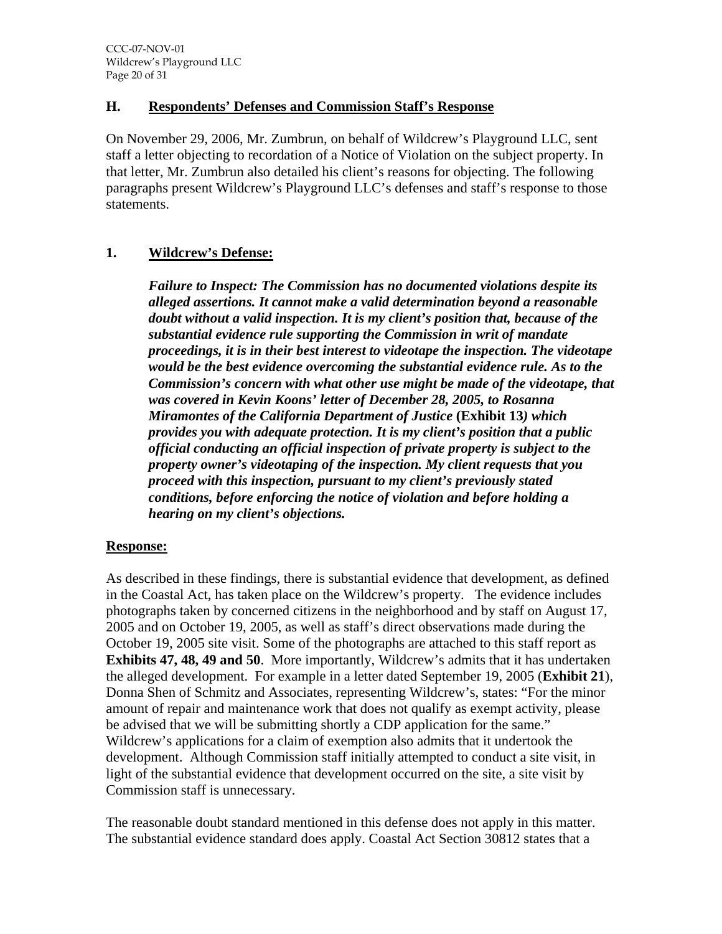#### **H. Respondents' Defenses and Commission Staff's Response**

On November 29, 2006, Mr. Zumbrun, on behalf of Wildcrew's Playground LLC, sent staff a letter objecting to recordation of a Notice of Violation on the subject property. In that letter, Mr. Zumbrun also detailed his client's reasons for objecting. The following paragraphs present Wildcrew's Playground LLC's defenses and staff's response to those statements.

#### **1. Wildcrew's Defense:**

*Failure to Inspect: The Commission has no documented violations despite its alleged assertions. It cannot make a valid determination beyond a reasonable doubt without a valid inspection. It is my client's position that, because of the substantial evidence rule supporting the Commission in writ of mandate proceedings, it is in their best interest to videotape the inspection. The videotape would be the best evidence overcoming the substantial evidence rule. As to the Commission's concern with what other use might be made of the videotape, that was covered in Kevin Koons' letter of December 28, 2005, to Rosanna Miramontes of the California Department of Justice* **(Exhibit 13***) which provides you with adequate protection. It is my client's position that a public official conducting an official inspection of private property is subject to the property owner's videotaping of the inspection. My client requests that you proceed with this inspection, pursuant to my client's previously stated conditions, before enforcing the notice of violation and before holding a hearing on my client's objections.* 

#### **Response:**

As described in these findings, there is substantial evidence that development, as defined in the Coastal Act, has taken place on the Wildcrew's property. The evidence includes photographs taken by concerned citizens in the neighborhood and by staff on August 17, 2005 and on October 19, 2005, as well as staff's direct observations made during the October 19, 2005 site visit. Some of the photographs are attached to this staff report as **Exhibits 47, 48, 49 and 50**. More importantly, Wildcrew's admits that it has undertaken the alleged development. For example in a letter dated September 19, 2005 (**Exhibit 21**), Donna Shen of Schmitz and Associates, representing Wildcrew's, states: "For the minor amount of repair and maintenance work that does not qualify as exempt activity, please be advised that we will be submitting shortly a CDP application for the same." Wildcrew's applications for a claim of exemption also admits that it undertook the development. Although Commission staff initially attempted to conduct a site visit, in light of the substantial evidence that development occurred on the site, a site visit by Commission staff is unnecessary.

The reasonable doubt standard mentioned in this defense does not apply in this matter. The substantial evidence standard does apply. Coastal Act Section 30812 states that a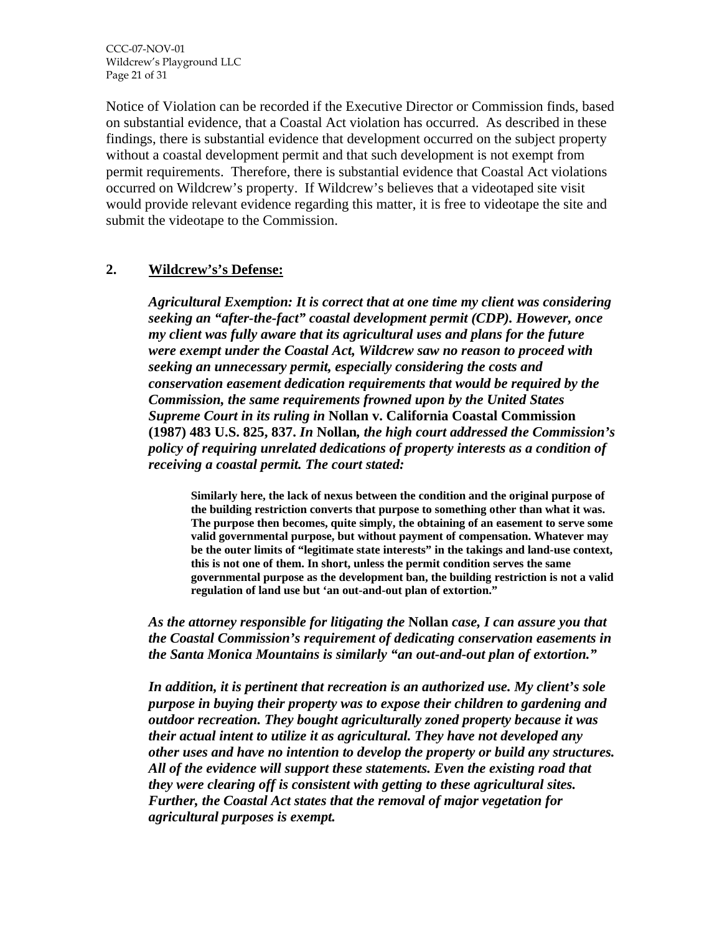CCC-07-NOV-01 Wildcrew's Playground LLC Page 21 of 31

Notice of Violation can be recorded if the Executive Director or Commission finds, based on substantial evidence, that a Coastal Act violation has occurred. As described in these findings, there is substantial evidence that development occurred on the subject property without a coastal development permit and that such development is not exempt from permit requirements. Therefore, there is substantial evidence that Coastal Act violations occurred on Wildcrew's property. If Wildcrew's believes that a videotaped site visit would provide relevant evidence regarding this matter, it is free to videotape the site and submit the videotape to the Commission.

#### **2. Wildcrew's's Defense:**

*Agricultural Exemption: It is correct that at one time my client was considering seeking an "after-the-fact" coastal development permit (CDP). However, once my client was fully aware that its agricultural uses and plans for the future were exempt under the Coastal Act, Wildcrew saw no reason to proceed with seeking an unnecessary permit, especially considering the costs and conservation easement dedication requirements that would be required by the Commission, the same requirements frowned upon by the United States Supreme Court in its ruling in* **Nollan v. California Coastal Commission (1987) 483 U.S. 825, 837.** *In* **Nollan***, the high court addressed the Commission's policy of requiring unrelated dedications of property interests as a condition of receiving a coastal permit. The court stated:* 

**Similarly here, the lack of nexus between the condition and the original purpose of the building restriction converts that purpose to something other than what it was. The purpose then becomes, quite simply, the obtaining of an easement to serve some valid governmental purpose, but without payment of compensation. Whatever may be the outer limits of "legitimate state interests" in the takings and land-use context, this is not one of them. In short, unless the permit condition serves the same governmental purpose as the development ban, the building restriction is not a valid regulation of land use but 'an out-and-out plan of extortion."**

*As the attorney responsible for litigating the* **Nollan** *case, I can assure you that the Coastal Commission's requirement of dedicating conservation easements in the Santa Monica Mountains is similarly "an out-and-out plan of extortion."* 

*In addition, it is pertinent that recreation is an authorized use. My client's sole purpose in buying their property was to expose their children to gardening and outdoor recreation. They bought agriculturally zoned property because it was their actual intent to utilize it as agricultural. They have not developed any other uses and have no intention to develop the property or build any structures. All of the evidence will support these statements. Even the existing road that they were clearing off is consistent with getting to these agricultural sites. Further, the Coastal Act states that the removal of major vegetation for agricultural purposes is exempt.*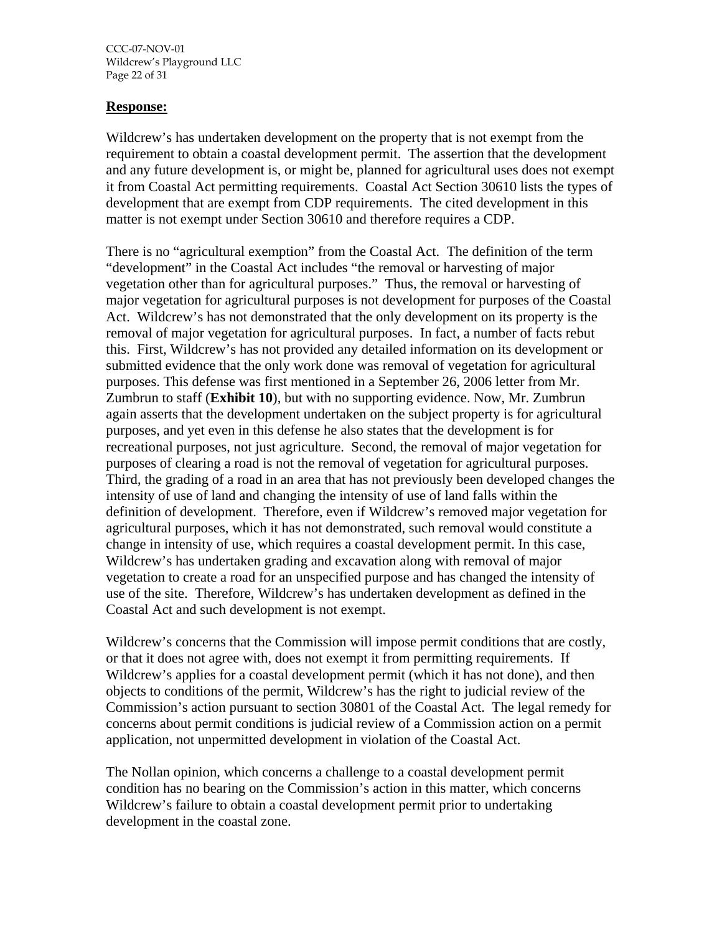CCC-07-NOV-01 Wildcrew's Playground LLC Page 22 of 31

#### **Response:**

Wildcrew's has undertaken development on the property that is not exempt from the requirement to obtain a coastal development permit. The assertion that the development and any future development is, or might be, planned for agricultural uses does not exempt it from Coastal Act permitting requirements. Coastal Act Section 30610 lists the types of development that are exempt from CDP requirements. The cited development in this matter is not exempt under Section 30610 and therefore requires a CDP.

There is no "agricultural exemption" from the Coastal Act. The definition of the term "development" in the Coastal Act includes "the removal or harvesting of major vegetation other than for agricultural purposes." Thus, the removal or harvesting of major vegetation for agricultural purposes is not development for purposes of the Coastal Act. Wildcrew's has not demonstrated that the only development on its property is the removal of major vegetation for agricultural purposes. In fact, a number of facts rebut this. First, Wildcrew's has not provided any detailed information on its development or submitted evidence that the only work done was removal of vegetation for agricultural purposes. This defense was first mentioned in a September 26, 2006 letter from Mr. Zumbrun to staff (**Exhibit 10**), but with no supporting evidence. Now, Mr. Zumbrun again asserts that the development undertaken on the subject property is for agricultural purposes, and yet even in this defense he also states that the development is for recreational purposes, not just agriculture. Second, the removal of major vegetation for purposes of clearing a road is not the removal of vegetation for agricultural purposes. Third, the grading of a road in an area that has not previously been developed changes the intensity of use of land and changing the intensity of use of land falls within the definition of development. Therefore, even if Wildcrew's removed major vegetation for agricultural purposes, which it has not demonstrated, such removal would constitute a change in intensity of use, which requires a coastal development permit. In this case, Wildcrew's has undertaken grading and excavation along with removal of major vegetation to create a road for an unspecified purpose and has changed the intensity of use of the site. Therefore, Wildcrew's has undertaken development as defined in the Coastal Act and such development is not exempt.

Wildcrew's concerns that the Commission will impose permit conditions that are costly, or that it does not agree with, does not exempt it from permitting requirements. If Wildcrew's applies for a coastal development permit (which it has not done), and then objects to conditions of the permit, Wildcrew's has the right to judicial review of the Commission's action pursuant to section 30801 of the Coastal Act. The legal remedy for concerns about permit conditions is judicial review of a Commission action on a permit application, not unpermitted development in violation of the Coastal Act.

The Nollan opinion, which concerns a challenge to a coastal development permit condition has no bearing on the Commission's action in this matter, which concerns Wildcrew's failure to obtain a coastal development permit prior to undertaking development in the coastal zone.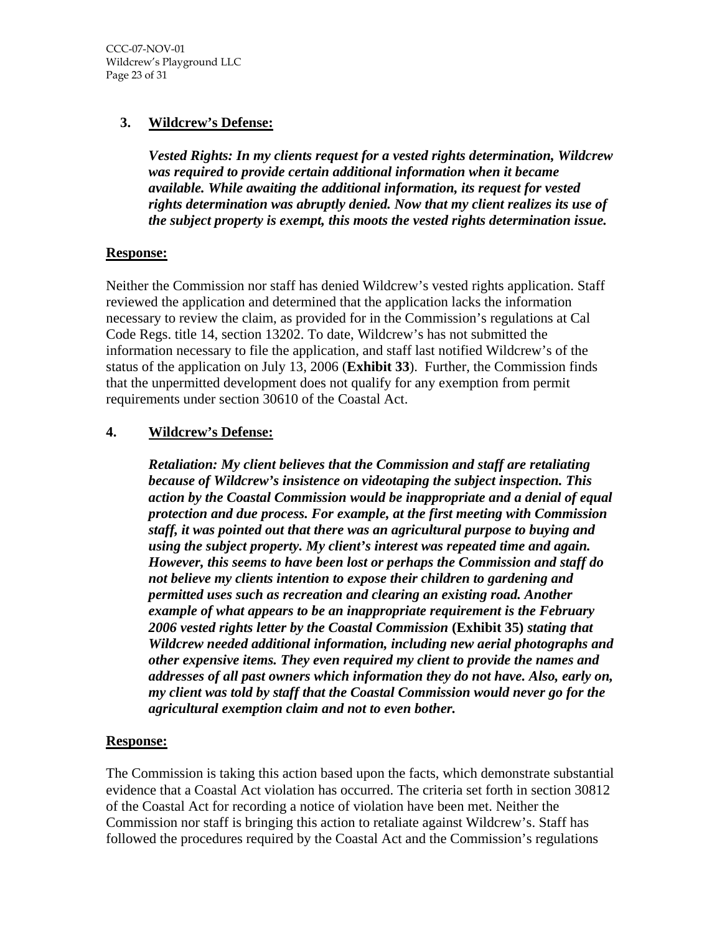# **3. Wildcrew's Defense:**

*Vested Rights: In my clients request for a vested rights determination, Wildcrew was required to provide certain additional information when it became available. While awaiting the additional information, its request for vested rights determination was abruptly denied. Now that my client realizes its use of the subject property is exempt, this moots the vested rights determination issue.* 

#### **Response:**

Neither the Commission nor staff has denied Wildcrew's vested rights application. Staff reviewed the application and determined that the application lacks the information necessary to review the claim, as provided for in the Commission's regulations at Cal Code Regs. title 14, section 13202. To date, Wildcrew's has not submitted the information necessary to file the application, and staff last notified Wildcrew's of the status of the application on July 13, 2006 (**Exhibit 33**). Further, the Commission finds that the unpermitted development does not qualify for any exemption from permit requirements under section 30610 of the Coastal Act.

#### **4. Wildcrew's Defense:**

*Retaliation: My client believes that the Commission and staff are retaliating because of Wildcrew's insistence on videotaping the subject inspection. This action by the Coastal Commission would be inappropriate and a denial of equal protection and due process. For example, at the first meeting with Commission staff, it was pointed out that there was an agricultural purpose to buying and using the subject property. My client's interest was repeated time and again. However, this seems to have been lost or perhaps the Commission and staff do not believe my clients intention to expose their children to gardening and permitted uses such as recreation and clearing an existing road. Another example of what appears to be an inappropriate requirement is the February 2006 vested rights letter by the Coastal Commission* **(Exhibit 35)** *stating that Wildcrew needed additional information, including new aerial photographs and other expensive items. They even required my client to provide the names and addresses of all past owners which information they do not have. Also, early on, my client was told by staff that the Coastal Commission would never go for the agricultural exemption claim and not to even bother.* 

#### **Response:**

The Commission is taking this action based upon the facts, which demonstrate substantial evidence that a Coastal Act violation has occurred. The criteria set forth in section 30812 of the Coastal Act for recording a notice of violation have been met. Neither the Commission nor staff is bringing this action to retaliate against Wildcrew's. Staff has followed the procedures required by the Coastal Act and the Commission's regulations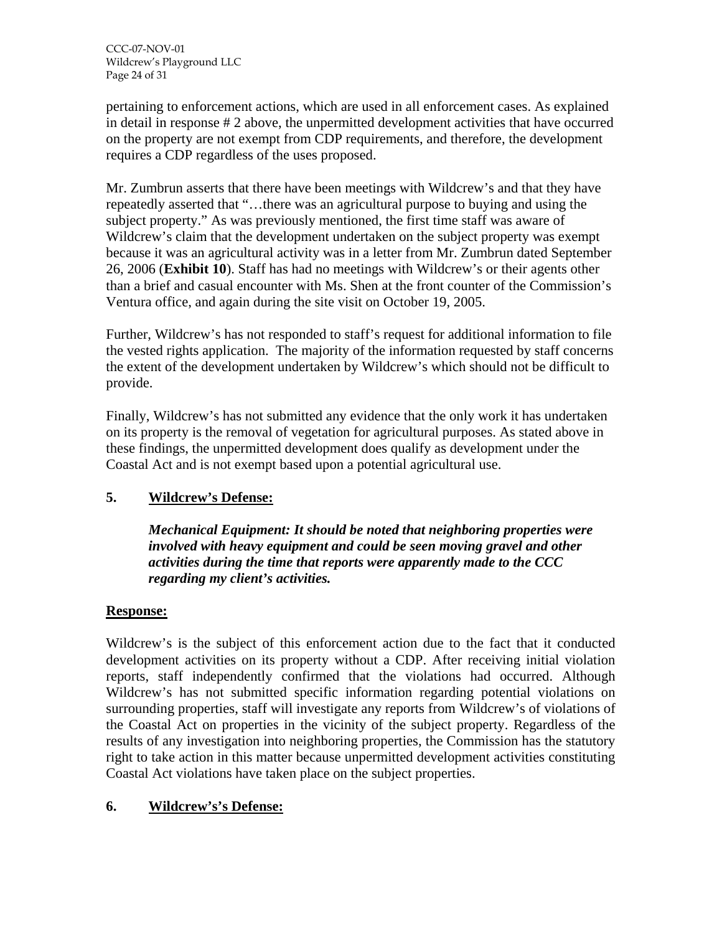pertaining to enforcement actions, which are used in all enforcement cases. As explained in detail in response # 2 above, the unpermitted development activities that have occurred on the property are not exempt from CDP requirements, and therefore, the development requires a CDP regardless of the uses proposed.

Mr. Zumbrun asserts that there have been meetings with Wildcrew's and that they have repeatedly asserted that "…there was an agricultural purpose to buying and using the subject property." As was previously mentioned, the first time staff was aware of Wildcrew's claim that the development undertaken on the subject property was exempt because it was an agricultural activity was in a letter from Mr. Zumbrun dated September 26, 2006 (**Exhibit 10**). Staff has had no meetings with Wildcrew's or their agents other than a brief and casual encounter with Ms. Shen at the front counter of the Commission's Ventura office, and again during the site visit on October 19, 2005.

Further, Wildcrew's has not responded to staff's request for additional information to file the vested rights application. The majority of the information requested by staff concerns the extent of the development undertaken by Wildcrew's which should not be difficult to provide.

Finally, Wildcrew's has not submitted any evidence that the only work it has undertaken on its property is the removal of vegetation for agricultural purposes. As stated above in these findings, the unpermitted development does qualify as development under the Coastal Act and is not exempt based upon a potential agricultural use.

# **5. Wildcrew's Defense:**

*Mechanical Equipment: It should be noted that neighboring properties were involved with heavy equipment and could be seen moving gravel and other activities during the time that reports were apparently made to the CCC regarding my client's activities.* 

# **Response:**

Wildcrew's is the subject of this enforcement action due to the fact that it conducted development activities on its property without a CDP. After receiving initial violation reports, staff independently confirmed that the violations had occurred. Although Wildcrew's has not submitted specific information regarding potential violations on surrounding properties, staff will investigate any reports from Wildcrew's of violations of the Coastal Act on properties in the vicinity of the subject property. Regardless of the results of any investigation into neighboring properties, the Commission has the statutory right to take action in this matter because unpermitted development activities constituting Coastal Act violations have taken place on the subject properties.

# **6. Wildcrew's's Defense:**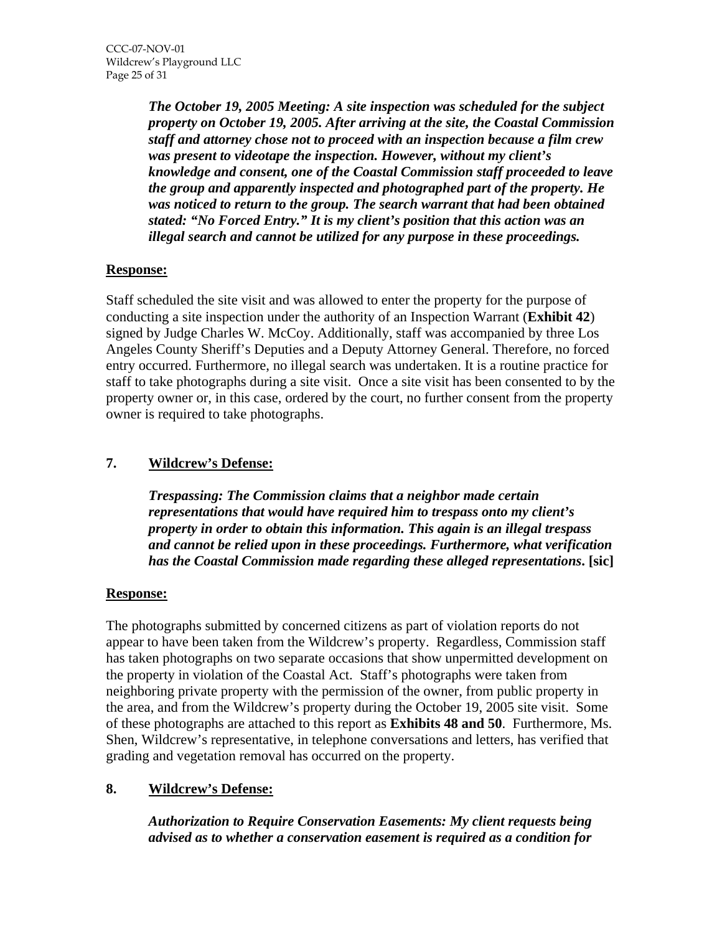*The October 19, 2005 Meeting: A site inspection was scheduled for the subject property on October 19, 2005. After arriving at the site, the Coastal Commission staff and attorney chose not to proceed with an inspection because a film crew was present to videotape the inspection. However, without my client's knowledge and consent, one of the Coastal Commission staff proceeded to leave the group and apparently inspected and photographed part of the property. He was noticed to return to the group. The search warrant that had been obtained stated: "No Forced Entry." It is my client's position that this action was an illegal search and cannot be utilized for any purpose in these proceedings.* 

# **Response:**

Staff scheduled the site visit and was allowed to enter the property for the purpose of conducting a site inspection under the authority of an Inspection Warrant (**Exhibit 42**) signed by Judge Charles W. McCoy. Additionally, staff was accompanied by three Los Angeles County Sheriff's Deputies and a Deputy Attorney General. Therefore, no forced entry occurred. Furthermore, no illegal search was undertaken. It is a routine practice for staff to take photographs during a site visit. Once a site visit has been consented to by the property owner or, in this case, ordered by the court, no further consent from the property owner is required to take photographs.

# **7. Wildcrew's Defense:**

*Trespassing: The Commission claims that a neighbor made certain representations that would have required him to trespass onto my client's property in order to obtain this information. This again is an illegal trespass and cannot be relied upon in these proceedings. Furthermore, what verification has the Coastal Commission made regarding these alleged representations***. [sic]**

#### **Response:**

The photographs submitted by concerned citizens as part of violation reports do not appear to have been taken from the Wildcrew's property. Regardless, Commission staff has taken photographs on two separate occasions that show unpermitted development on the property in violation of the Coastal Act. Staff's photographs were taken from neighboring private property with the permission of the owner, from public property in the area, and from the Wildcrew's property during the October 19, 2005 site visit. Some of these photographs are attached to this report as **Exhibits 48 and 50**. Furthermore, Ms. Shen, Wildcrew's representative, in telephone conversations and letters, has verified that grading and vegetation removal has occurred on the property.

# **8. Wildcrew's Defense:**

*Authorization to Require Conservation Easements: My client requests being advised as to whether a conservation easement is required as a condition for*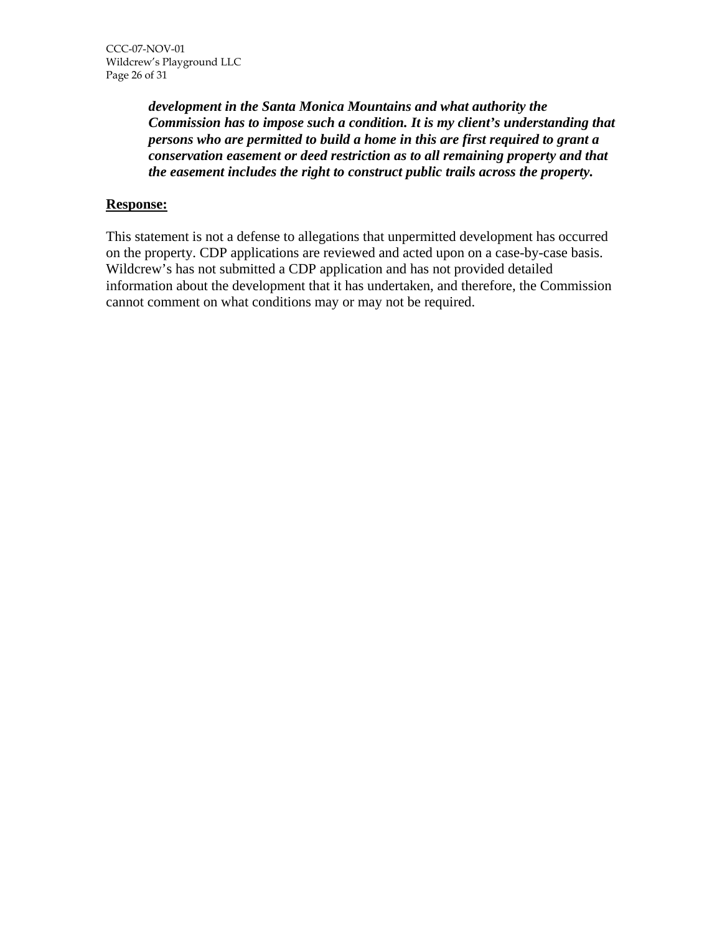*development in the Santa Monica Mountains and what authority the Commission has to impose such a condition. It is my client's understanding that persons who are permitted to build a home in this are first required to grant a conservation easement or deed restriction as to all remaining property and that the easement includes the right to construct public trails across the property.* 

#### **Response:**

This statement is not a defense to allegations that unpermitted development has occurred on the property. CDP applications are reviewed and acted upon on a case-by-case basis. Wildcrew's has not submitted a CDP application and has not provided detailed information about the development that it has undertaken, and therefore, the Commission cannot comment on what conditions may or may not be required.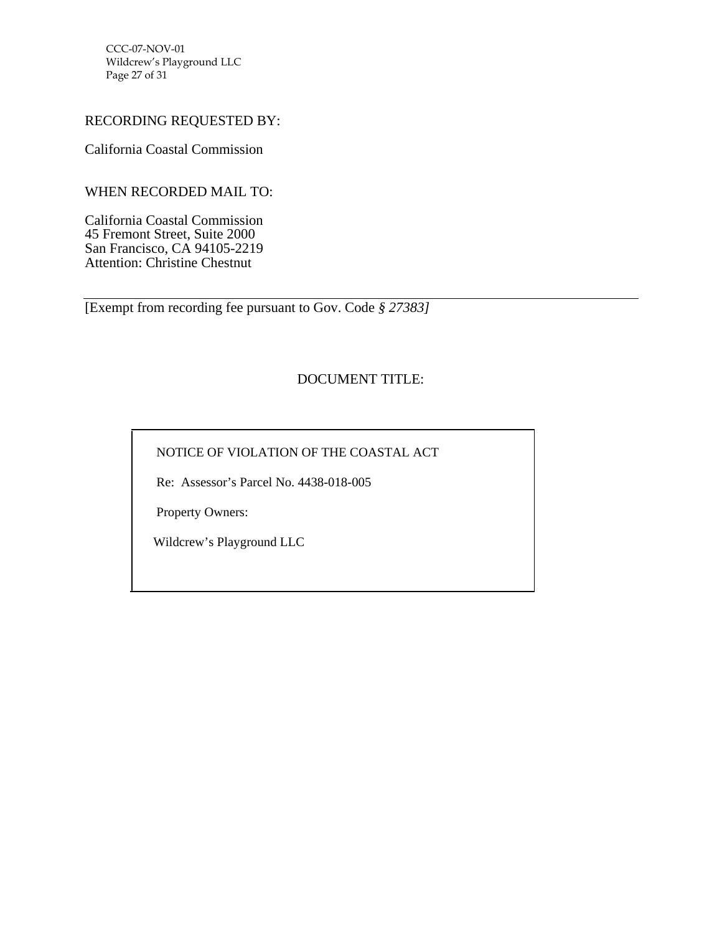CCC-07-NOV-01 Wildcrew's Playground LLC Page 27 of 31

### RECORDING REQUESTED BY:

California Coastal Commission

WHEN RECORDED MAIL TO:

California Coastal Commission 45 Fremont Street, Suite 2000 San Francisco, CA 94105-2219 Attention: Christine Chestnut

[Exempt from recording fee pursuant to Gov. Code *§ 27383]*

# DOCUMENT TITLE:

NOTICE OF VIOLATION OF THE COASTAL ACT

Re: Assessor's Parcel No. 4438-018-005

Property Owners:

Wildcrew's Playground LLC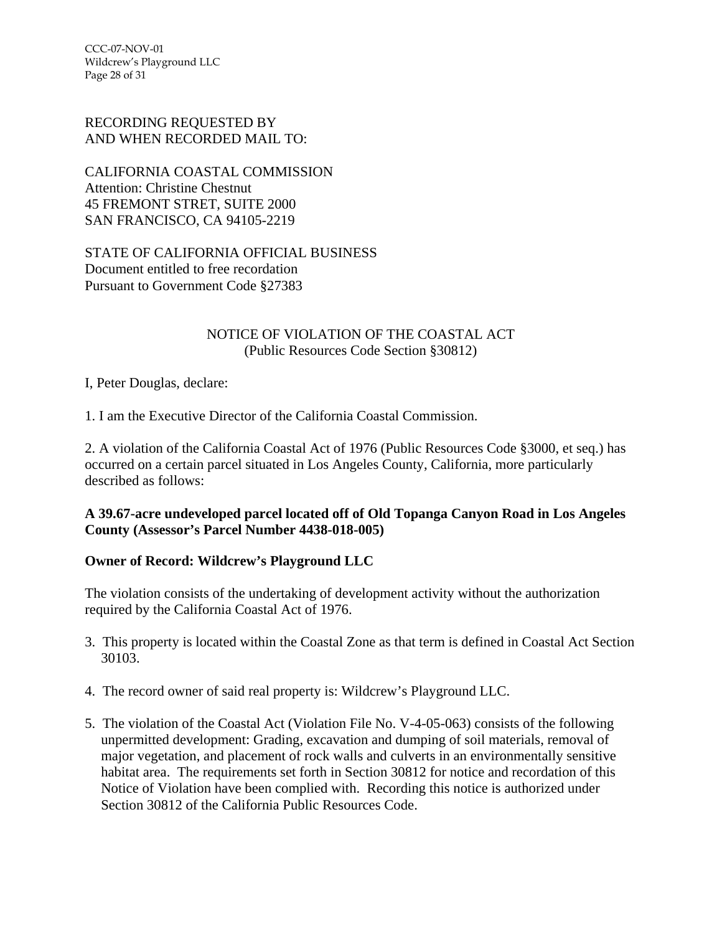CCC-07-NOV-01 Wildcrew's Playground LLC Page 28 of 31

#### RECORDING REQUESTED BY AND WHEN RECORDED MAIL TO:

CALIFORNIA COASTAL COMMISSION Attention: Christine Chestnut 45 FREMONT STRET, SUITE 2000 SAN FRANCISCO, CA 94105-2219

STATE OF CALIFORNIA OFFICIAL BUSINESS Document entitled to free recordation Pursuant to Government Code §27383

#### NOTICE OF VIOLATION OF THE COASTAL ACT (Public Resources Code Section §30812)

I, Peter Douglas, declare:

1. I am the Executive Director of the California Coastal Commission.

2. A violation of the California Coastal Act of 1976 (Public Resources Code §3000, et seq.) has occurred on a certain parcel situated in Los Angeles County, California, more particularly described as follows:

#### **A 39.67-acre undeveloped parcel located off of Old Topanga Canyon Road in Los Angeles County (Assessor's Parcel Number 4438-018-005)**

#### **Owner of Record: Wildcrew's Playground LLC**

The violation consists of the undertaking of development activity without the authorization required by the California Coastal Act of 1976.

- 3. This property is located within the Coastal Zone as that term is defined in Coastal Act Section 30103.
- 4. The record owner of said real property is: Wildcrew's Playground LLC.
- 5. The violation of the Coastal Act (Violation File No. V-4-05-063) consists of the following unpermitted development: Grading, excavation and dumping of soil materials, removal of major vegetation, and placement of rock walls and culverts in an environmentally sensitive habitat area. The requirements set forth in Section 30812 for notice and recordation of this Notice of Violation have been complied with. Recording this notice is authorized under Section 30812 of the California Public Resources Code.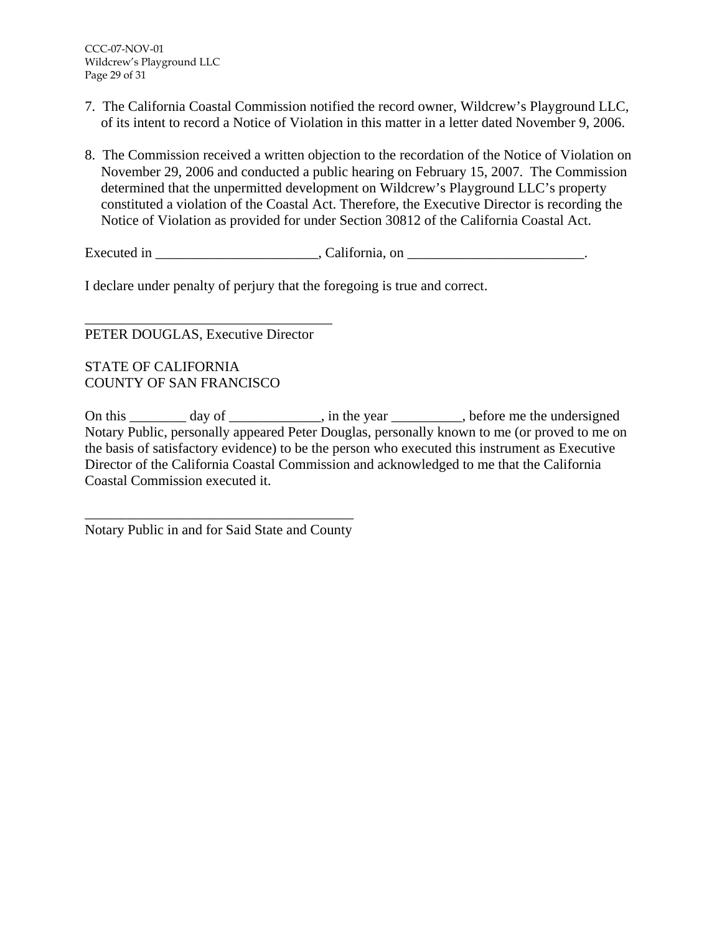- 7. The California Coastal Commission notified the record owner, Wildcrew's Playground LLC, of its intent to record a Notice of Violation in this matter in a letter dated November 9, 2006.
- 8. The Commission received a written objection to the recordation of the Notice of Violation on November 29, 2006 and conducted a public hearing on February 15, 2007. The Commission determined that the unpermitted development on Wildcrew's Playground LLC's property constituted a violation of the Coastal Act. Therefore, the Executive Director is recording the Notice of Violation as provided for under Section 30812 of the California Coastal Act.

Executed in \_\_\_\_\_\_\_\_\_\_\_\_\_\_\_\_\_\_\_\_\_\_\_, California, on \_\_\_\_\_\_\_\_\_\_\_\_\_\_\_\_\_\_\_\_\_\_\_\_\_.

I declare under penalty of perjury that the foregoing is true and correct.

\_\_\_\_\_\_\_\_\_\_\_\_\_\_\_\_\_\_\_\_\_\_\_\_\_\_\_\_\_\_\_\_\_\_\_ PETER DOUGLAS, Executive Director

STATE OF CALIFORNIA COUNTY OF SAN FRANCISCO

On this day of her vear heat the vear heather the undersigned of the vear heat the undersigned Notary Public, personally appeared Peter Douglas, personally known to me (or proved to me on the basis of satisfactory evidence) to be the person who executed this instrument as Executive Director of the California Coastal Commission and acknowledged to me that the California Coastal Commission executed it.

\_\_\_\_\_\_\_\_\_\_\_\_\_\_\_\_\_\_\_\_\_\_\_\_\_\_\_\_\_\_\_\_\_\_\_\_\_\_ Notary Public in and for Said State and County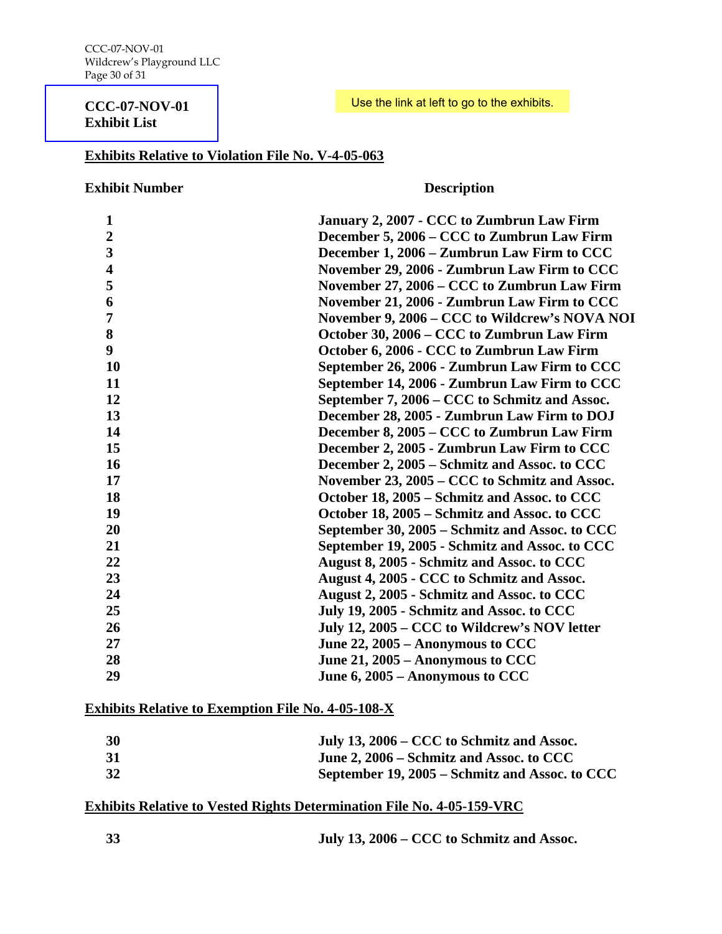#### **[CCC-07-NOV-01](http://documents.coastal.ca.gov/reports/2007/2/Th14-2-2007-a1.pdf)  Exhibit List**

#### Use the link at left to go to the exhibits.

#### **Exhibits Relative to Violation File No. V-4-05-063**

#### **Exhibit Number Description**

| January 2, 2007 - CCC to Zumbrun Law Firm      |
|------------------------------------------------|
| December 5, 2006 – CCC to Zumbrun Law Firm     |
| December 1, 2006 – Zumbrun Law Firm to CCC     |
| November 29, 2006 - Zumbrun Law Firm to CCC    |
| November 27, 2006 – CCC to Zumbrun Law Firm    |
| November 21, 2006 - Zumbrun Law Firm to CCC    |
| November 9, 2006 – CCC to Wildcrew's NOVA NOI  |
| October 30, 2006 – CCC to Zumbrun Law Firm     |
| October 6, 2006 - CCC to Zumbrun Law Firm      |
| September 26, 2006 - Zumbrun Law Firm to CCC   |
| September 14, 2006 - Zumbrun Law Firm to CCC   |
| September 7, 2006 – CCC to Schmitz and Assoc.  |
| December 28, 2005 - Zumbrun Law Firm to DOJ    |
| December 8, 2005 – CCC to Zumbrun Law Firm     |
| December 2, 2005 - Zumbrun Law Firm to CCC     |
| December 2, 2005 – Schmitz and Assoc. to CCC   |
| November 23, 2005 – CCC to Schmitz and Assoc.  |
| October 18, 2005 – Schmitz and Assoc. to CCC   |
| October 18, 2005 – Schmitz and Assoc. to CCC   |
| September 30, 2005 – Schmitz and Assoc. to CCC |
| September 19, 2005 - Schmitz and Assoc. to CCC |
| August 8, 2005 - Schmitz and Assoc. to CCC     |
| August 4, 2005 - CCC to Schmitz and Assoc.     |
| August 2, 2005 - Schmitz and Assoc. to CCC     |
| July 19, 2005 - Schmitz and Assoc. to CCC      |
| July 12, 2005 – CCC to Wildcrew's NOV letter   |
| June 22, 2005 – Anonymous to CCC               |
| June 21, 2005 – Anonymous to CCC               |
| June 6, 2005 – Anonymous to CCC                |
|                                                |

# **Exhibits Relative to Exemption File No. 4-05-108-X**

| <b>30</b> | July 13, 2006 – CCC to Schmitz and Assoc.      |
|-----------|------------------------------------------------|
| 31        | June 2, 2006 – Schmitz and Assoc. to CCC       |
| 32        | September 19, 2005 – Schmitz and Assoc. to CCC |

# **Exhibits Relative to Vested Rights Determination File No. 4-05-159-VRC**

**July 13, 2006 – CCC to Schmitz and Assoc.**